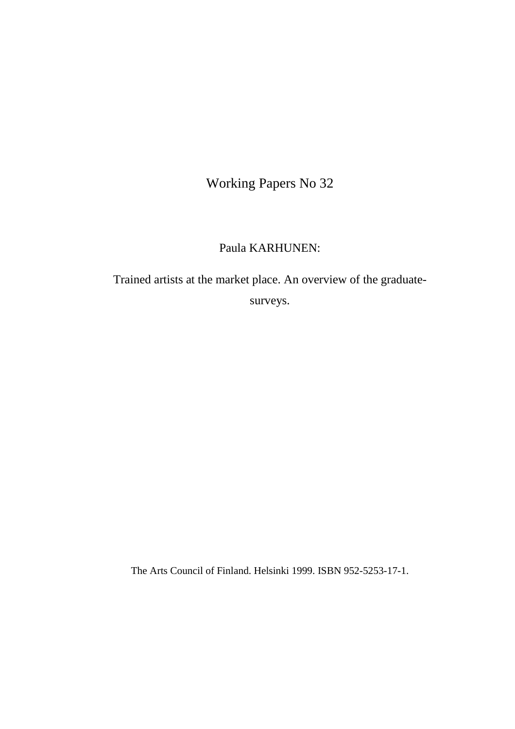Working Papers No 32

Paula KARHUNEN:

Trained artists at the market place. An overview of the graduatesurveys.

The Arts Council of Finland. Helsinki 1999. ISBN 952-5253-17-1.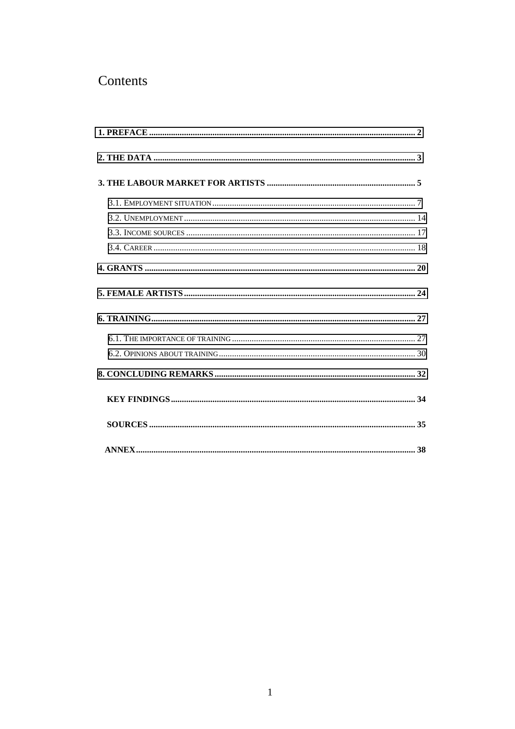## Contents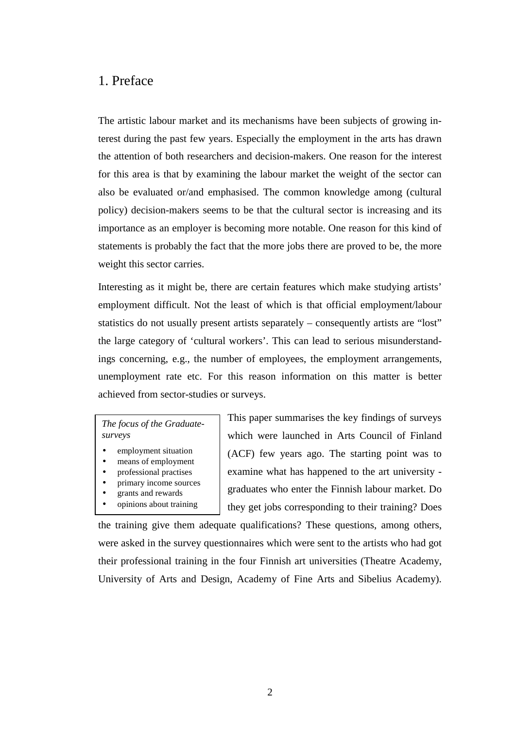## <span id="page-2-0"></span>1. Preface

The artistic labour market and its mechanisms have been subjects of growing interest during the past few years. Especially the employment in the arts has drawn the attention of both researchers and decision-makers. One reason for the interest for this area is that by examining the labour market the weight of the sector can also be evaluated or/and emphasised. The common knowledge among (cultural policy) decision-makers seems to be that the cultural sector is increasing and its importance as an employer is becoming more notable. One reason for this kind of statements is probably the fact that the more jobs there are proved to be, the more weight this sector carries.

Interesting as it might be, there are certain features which make studying artists' employment difficult. Not the least of which is that official employment/labour statistics do not usually present artists separately – consequently artists are "lost" the large category of 'cultural workers'. This can lead to serious misunderstandings concerning, e.g., the number of employees, the employment arrangements, unemployment rate etc. For this reason information on this matter is better achieved from sector-studies or surveys.

#### *The focus of the Graduatesurveys*

- employment situation
- means of employment • professional practises
- primary income sources
- grants and rewards
- - opinions about training

This paper summarises the key findings of surveys which were launched in Arts Council of Finland (ACF) few years ago. The starting point was to examine what has happened to the art university graduates who enter the Finnish labour market. Do they get jobs corresponding to their training? Does

the training give them adequate qualifications? These questions, among others, were asked in the survey questionnaires which were sent to the artists who had got their professional training in the four Finnish art universities (Theatre Academy, University of Arts and Design, Academy of Fine Arts and Sibelius Academy).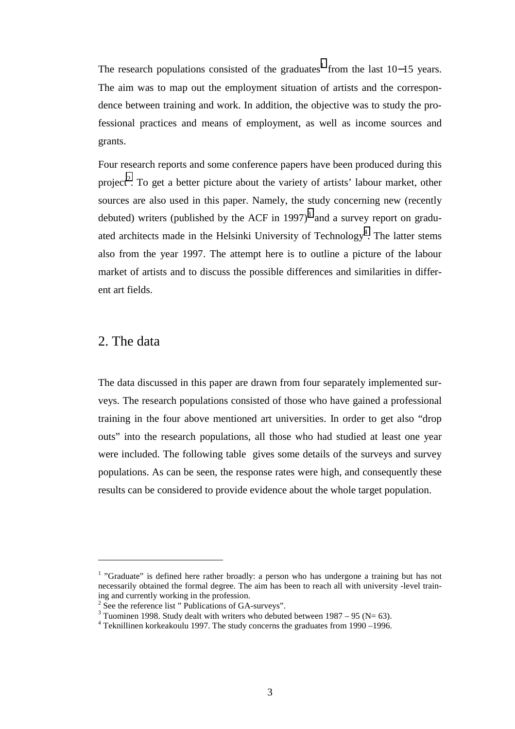<span id="page-3-0"></span>The research populations consisted of the graduates<sup>1</sup> from the last  $10-15$  years. The aim was to map out the employment situation of artists and the correspondence between training and work. In addition, the objective was to study the professional practices and means of employment, as well as income sources and grants.

Four research reports and some conference papers have been produced during this project<sup>2</sup>. To get a better picture about the variety of artists' labour market, other sources are also used in this paper. Namely, the study concerning new (recently debuted) writers (published by the ACF in 1997)<sup>3</sup> and a survey report on graduated architects made in the Helsinki University of Technology<sup>4</sup>. The latter stems also from the year 1997. The attempt here is to outline a picture of the labour market of artists and to discuss the possible differences and similarities in different art fields.

## 2. The data

 $\overline{a}$ 

The data discussed in this paper are drawn from four separately implemented surveys. The research populations consisted of those who have gained a professional training in the four above mentioned art universities. In order to get also "drop outs" into the research populations, all those who had studied at least one year were included. The following table gives some details of the surveys and survey populations. As can be seen, the response rates were high, and consequently these results can be considered to provide evidence about the whole target population.

 $<sup>1</sup>$  "Graduate" is defined here rather broadly: a person who has undergone a training but has not</sup> necessarily obtained the formal degree. The aim has been to reach all with university -level training and currently working in the profession.

<sup>&</sup>lt;sup>2</sup> See the reference list " Publications of GA-surveys".

<sup>&</sup>lt;sup>3</sup> Tuominen 1998. Study dealt with writers who debuted between 1987 – 95 (N= 63).

<sup>&</sup>lt;sup>4</sup> Teknillinen korkeakoulu 1997. The study concerns the graduates from 1990 -1996.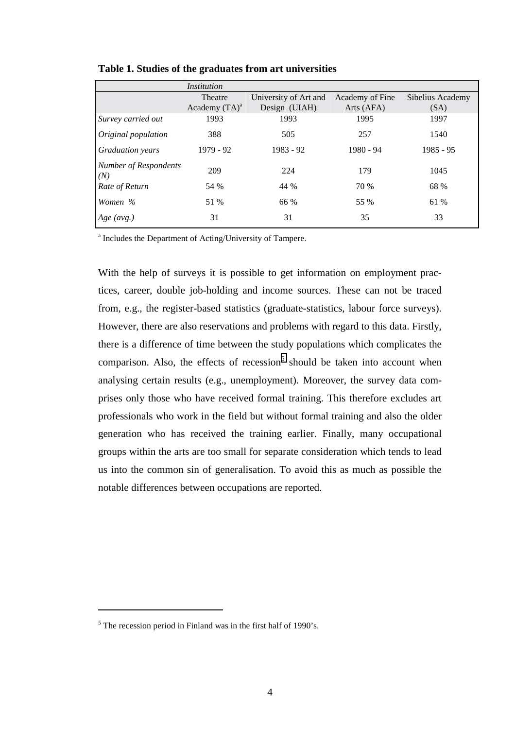|                              | Institution      |                       |                 |                  |
|------------------------------|------------------|-----------------------|-----------------|------------------|
|                              | Theatre          | University of Art and | Academy of Fine | Sibelius Academy |
|                              | Academy $(TA)^a$ | Design (UIAH)         | Arts (AFA)      | (SA)             |
| Survey carried out           | 1993             | 1993                  | 1995            | 1997             |
| Original population          | 388              | 505                   | 257             | 1540             |
| <b>Graduation</b> years      | 1979 - 92        | 1983 - 92             | 1980 - 94       | $1985 - 95$      |
| Number of Respondents<br>(N) | 209              | 224                   | 179             | 1045             |
| Rate of Return               | 54 %             | 44 %                  | 70 %            | 68 %             |
| Women %                      | 51 %             | 66 %                  | 55 %            | 61 %             |
| $Age \ (avg.)$               | 31               | 31                    | 35              | 33               |

**Table 1. Studies of the graduates from art universities** 

<sup>a</sup> Includes the Department of Acting/University of Tampere.

With the help of surveys it is possible to get information on employment practices, career, double job-holding and income sources. These can not be traced from, e.g., the register-based statistics (graduate-statistics, labour force surveys). However, there are also reservations and problems with regard to this data. Firstly, there is a difference of time between the study populations which complicates the comparison. Also, the effects of recession<sup>5</sup> should be taken into account when analysing certain results (e.g., unemployment). Moreover, the survey data comprises only those who have received formal training. This therefore excludes art professionals who work in the field but without formal training and also the older generation who has received the training earlier. Finally, many occupational groups within the arts are too small for separate consideration which tends to lead us into the common sin of generalisation. To avoid this as much as possible the notable differences between occupations are reported.

 $<sup>5</sup>$  The recession period in Finland was in the first half of 1990's.</sup>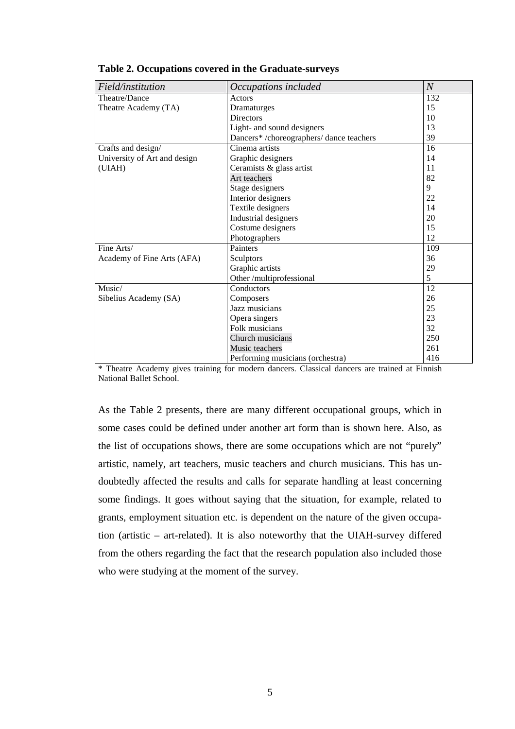| Field/institution            | Occupations included                    | $\mathcal{N}_{\mathcal{N}}$ |
|------------------------------|-----------------------------------------|-----------------------------|
| Theatre/Dance                | Actors                                  | 132                         |
| Theatre Academy (TA)         | Dramaturges                             | 15                          |
|                              | <b>Directors</b>                        | 10                          |
|                              | Light- and sound designers              | 13                          |
|                              | Dancers*/choreographers/ dance teachers | 39                          |
| Crafts and design/           | Cinema artists                          | 16                          |
| University of Art and design | Graphic designers                       | 14                          |
| (UIAH)                       | Ceramists & glass artist                | 11                          |
|                              | Art teachers                            | 82                          |
|                              | Stage designers                         | 9                           |
|                              | Interior designers                      | 22                          |
|                              | Textile designers                       | 14                          |
|                              | Industrial designers                    | 20                          |
|                              | Costume designers                       | 15                          |
|                              | Photographers                           | 12                          |
| Fine Arts/                   | Painters                                | 109                         |
| Academy of Fine Arts (AFA)   | Sculptors                               | 36                          |
|                              | Graphic artists                         | 29                          |
|                              | Other /multiprofessional                | 5                           |
| Music/                       | Conductors                              | 12                          |
| Sibelius Academy (SA)        | Composers                               | 26                          |
|                              | Jazz musicians                          | 25                          |
|                              | Opera singers                           | 23                          |
|                              | Folk musicians                          | 32                          |
|                              | Church musicians                        | 250                         |
|                              | Music teachers                          | 261                         |
|                              | Performing musicians (orchestra)        | 416                         |

#### **Table 2. Occupations covered in the Graduate-surveys**

\* Theatre Academy gives training for modern dancers. Classical dancers are trained at Finnish National Ballet School.

As the Table 2 presents, there are many different occupational groups, which in some cases could be defined under another art form than is shown here. Also, as the list of occupations shows, there are some occupations which are not "purely" artistic, namely, art teachers, music teachers and church musicians. This has undoubtedly affected the results and calls for separate handling at least concerning some findings. It goes without saying that the situation, for example, related to grants, employment situation etc. is dependent on the nature of the given occupation (artistic – art-related). It is also noteworthy that the UIAH-survey differed from the others regarding the fact that the research population also included those who were studying at the moment of the survey.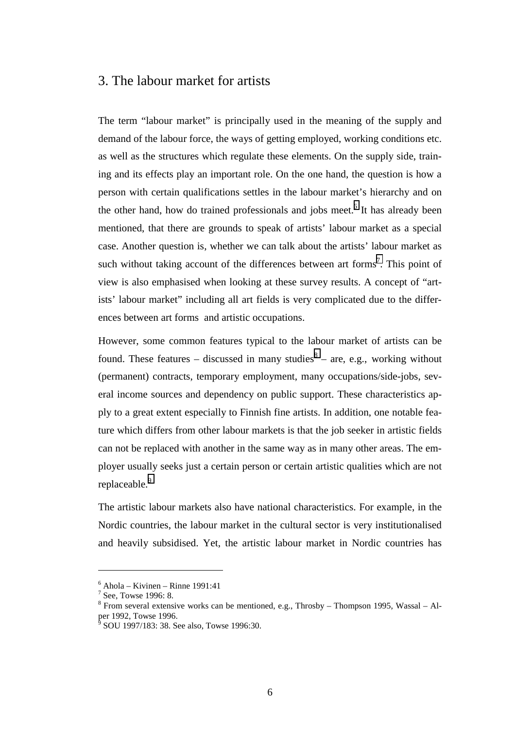## 3. The labour market for artists

The term "labour market" is principally used in the meaning of the supply and demand of the labour force, the ways of getting employed, working conditions etc. as well as the structures which regulate these elements. On the supply side, training and its effects play an important role. On the one hand, the question is how a person with certain qualifications settles in the labour market's hierarchy and on the other hand, how do trained professionals and jobs meet.<sup>6</sup> It has already been mentioned, that there are grounds to speak of artists' labour market as a special case. Another question is, whether we can talk about the artists' labour market as such without taking account of the differences between art forms<sup>7</sup>. This point of view is also emphasised when looking at these survey results. A concept of "artists' labour market" including all art fields is very complicated due to the differences between art forms and artistic occupations.

However, some common features typical to the labour market of artists can be found. These features – discussed in many studies $8 -$  are, e.g., working without (permanent) contracts, temporary employment, many occupations/side-jobs, several income sources and dependency on public support. These characteristics apply to a great extent especially to Finnish fine artists. In addition, one notable feature which differs from other labour markets is that the job seeker in artistic fields can not be replaced with another in the same way as in many other areas. The employer usually seeks just a certain person or certain artistic qualities which are not replaceable.<sup>9</sup>

The artistic labour markets also have national characteristics. For example, in the Nordic countries, the labour market in the cultural sector is very institutionalised and heavily subsidised. Yet, the artistic labour market in Nordic countries has

<sup>6</sup> Ahola – Kivinen – Rinne 1991:41

<sup>&</sup>lt;sup>7</sup> See, Towse 1996: 8.

 $8$  From several extensive works can be mentioned, e.g., Throsby – Thompson 1995, Wassal – Alper 1992, Towse 1996.<br><sup>9</sup> SOU 1997/183: 38. See also, Towse 1996:30.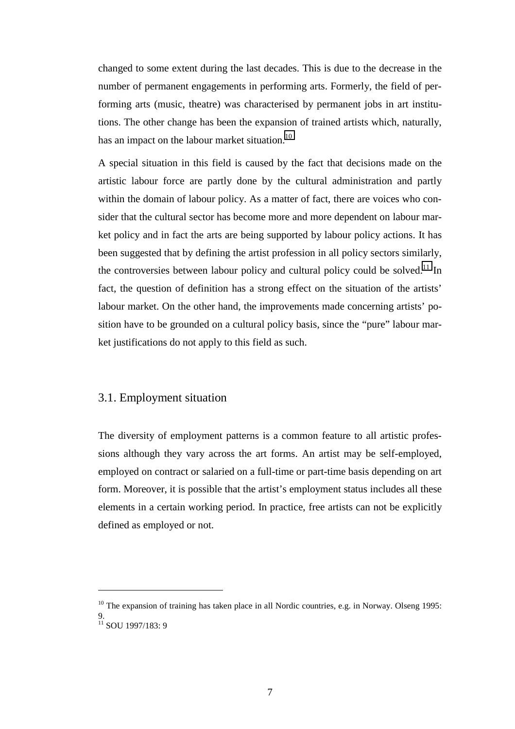<span id="page-7-0"></span>changed to some extent during the last decades. This is due to the decrease in the number of permanent engagements in performing arts. Formerly, the field of performing arts (music, theatre) was characterised by permanent jobs in art institutions. The other change has been the expansion of trained artists which, naturally, has an impact on the labour market situation. $^{10}$ 

A special situation in this field is caused by the fact that decisions made on the artistic labour force are partly done by the cultural administration and partly within the domain of labour policy. As a matter of fact, there are voices who consider that the cultural sector has become more and more dependent on labour market policy and in fact the arts are being supported by labour policy actions. It has been suggested that by defining the artist profession in all policy sectors similarly, the controversies between labour policy and cultural policy could be solved.<sup>11</sup> In fact, the question of definition has a strong effect on the situation of the artists' labour market. On the other hand, the improvements made concerning artists' position have to be grounded on a cultural policy basis, since the "pure" labour market justifications do not apply to this field as such.

## 3.1. Employment situation

 $\overline{a}$ 

The diversity of employment patterns is a common feature to all artistic professions although they vary across the art forms. An artist may be self-employed, employed on contract or salaried on a full-time or part-time basis depending on art form. Moreover, it is possible that the artist's employment status includes all these elements in a certain working period. In practice, free artists can not be explicitly defined as employed or not.

<sup>&</sup>lt;sup>10</sup> The expansion of training has taken place in all Nordic countries, e.g. in Norway. Olseng 1995: 9.  $11$  SOU 1997/183: 9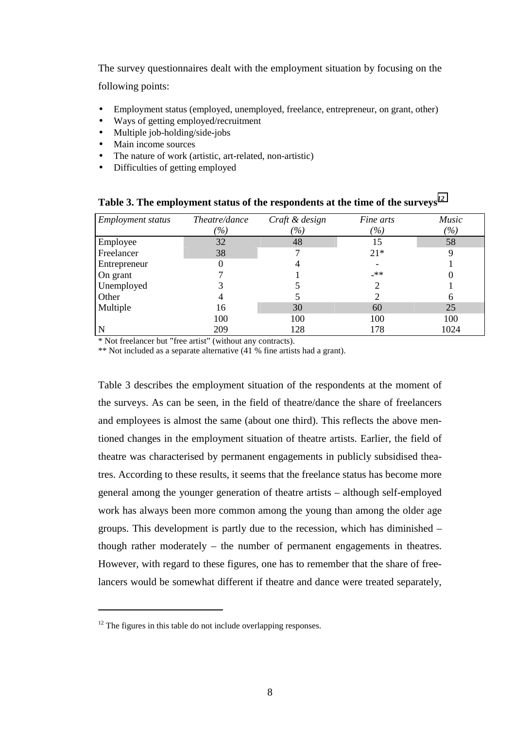The survey questionnaires dealt with the employment situation by focusing on the following points:

- Employment status (employed, unemployed, freelance, entrepreneur, on grant, other)
- Ways of getting employed/recruitment
- Multiple job-holding/side-jobs
- Main income sources
- The nature of work (artistic, art-related, non-artistic)
- Difficulties of getting employed

| <i>Employment status</i> | Theatre/dance                      | Craft & design               | Fine arts | Music                             |
|--------------------------|------------------------------------|------------------------------|-----------|-----------------------------------|
|                          | $\frac{\partial}{\partial \theta}$ | $\left( \frac{o}{o} \right)$ | (%)       | $\frac{\frac{1}{2}}{\frac{1}{2}}$ |
| Employee                 | 32                                 | 48                           | 15        | 58                                |
| Freelancer               | 38                                 |                              | $21*$     | 9                                 |
| Entrepreneur             |                                    | 4                            |           |                                   |
| On grant                 |                                    |                              | _**       |                                   |
| Unemployed               |                                    |                              | 2         |                                   |
| Other                    |                                    |                              |           | h                                 |
| Multiple                 | 16                                 | 30                           | 60        | 25                                |
|                          | 100                                | 100                          | 100       | 100                               |
| N                        | 209                                | 128                          | 178       | 1024                              |

|  |  | Table 3. The employment status of the respondents at the time of the surveys $^{12}$ |  |  |
|--|--|--------------------------------------------------------------------------------------|--|--|
|  |  |                                                                                      |  |  |

\* Not freelancer but "free artist" (without any contracts).

\*\* Not included as a separate alternative (41 % fine artists had a grant).

Table 3 describes the employment situation of the respondents at the moment of the surveys. As can be seen, in the field of theatre/dance the share of freelancers and employees is almost the same (about one third). This reflects the above mentioned changes in the employment situation of theatre artists. Earlier, the field of theatre was characterised by permanent engagements in publicly subsidised theatres. According to these results, it seems that the freelance status has become more general among the younger generation of theatre artists – although self-employed work has always been more common among the young than among the older age groups. This development is partly due to the recession, which has diminished – though rather moderately – the number of permanent engagements in theatres. However, with regard to these figures, one has to remember that the share of freelancers would be somewhat different if theatre and dance were treated separately,

 $12$  The figures in this table do not include overlapping responses.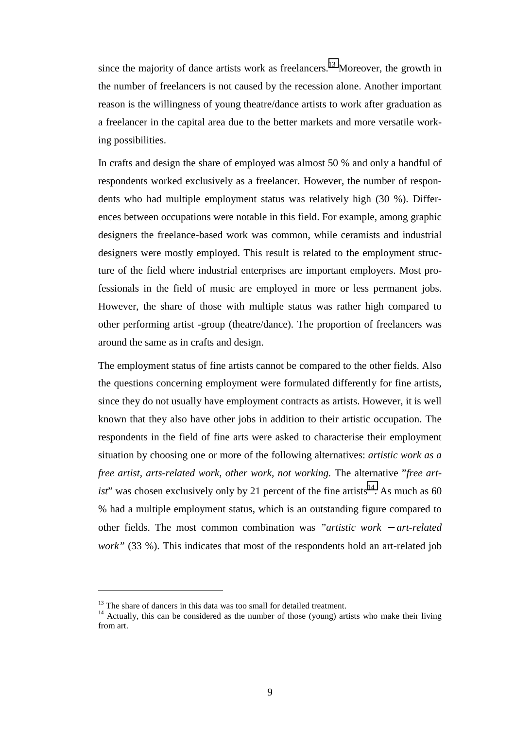since the majority of dance artists work as freelancers.<sup>13</sup> Moreover, the growth in the number of freelancers is not caused by the recession alone. Another important reason is the willingness of young theatre/dance artists to work after graduation as a freelancer in the capital area due to the better markets and more versatile working possibilities.

In crafts and design the share of employed was almost 50 % and only a handful of respondents worked exclusively as a freelancer. However, the number of respondents who had multiple employment status was relatively high (30 %). Differences between occupations were notable in this field. For example, among graphic designers the freelance-based work was common, while ceramists and industrial designers were mostly employed. This result is related to the employment structure of the field where industrial enterprises are important employers. Most professionals in the field of music are employed in more or less permanent jobs. However, the share of those with multiple status was rather high compared to other performing artist -group (theatre/dance). The proportion of freelancers was around the same as in crafts and design.

The employment status of fine artists cannot be compared to the other fields. Also the questions concerning employment were formulated differently for fine artists, since they do not usually have employment contracts as artists. However, it is well known that they also have other jobs in addition to their artistic occupation. The respondents in the field of fine arts were asked to characterise their employment situation by choosing one or more of the following alternatives: *artistic work as a free artist, arts-related work, other work, not working.* The alternative "*free artist*" was chosen exclusively only by 21 percent of the fine artists<sup>14</sup>. As much as 60 % had a multiple employment status, which is an outstanding figure compared to other fields. The most common combination was *"artistic work* − *art-related work"* (33 %). This indicates that most of the respondents hold an art-related job

<sup>&</sup>lt;sup>13</sup> The share of dancers in this data was too small for detailed treatment.

<sup>&</sup>lt;sup>14</sup> Actually, this can be considered as the number of those (young) artists who make their living from art.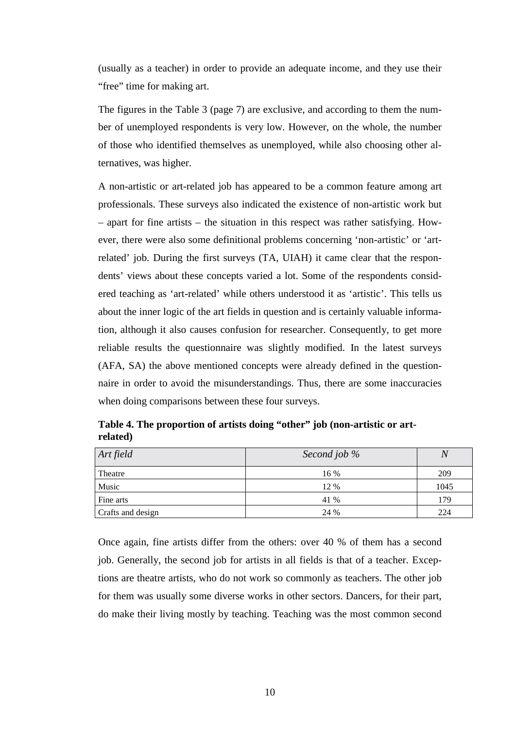(usually as a teacher) in order to provide an adequate income, and they use their "free" time for making art.

The figures in the Table 3 (page 7) are exclusive, and according to them the number of unemployed respondents is very low. However, on the whole, the number of those who identified themselves as unemployed, while also choosing other alternatives, was higher.

A non-artistic or art-related job has appeared to be a common feature among art professionals. These surveys also indicated the existence of non-artistic work but – apart for fine artists – the situation in this respect was rather satisfying. However, there were also some definitional problems concerning 'non-artistic' or 'artrelated' job. During the first surveys (TA, UIAH) it came clear that the respondents' views about these concepts varied a lot. Some of the respondents considered teaching as 'art-related' while others understood it as 'artistic'. This tells us about the inner logic of the art fields in question and is certainly valuable information, although it also causes confusion for researcher. Consequently, to get more reliable results the questionnaire was slightly modified. In the latest surveys (AFA, SA) the above mentioned concepts were already defined in the questionnaire in order to avoid the misunderstandings. Thus, there are some inaccuracies when doing comparisons between these four surveys.

| Art field         | Second job % | $\overline{N}$ |
|-------------------|--------------|----------------|
| Theatre           | 16 %         | 209            |
| Music             | 12 %         | 1045           |
| Fine arts         | 41 %         | 179            |
| Crafts and design | 24 %         | 224            |

**Table 4. The proportion of artists doing "other" job (non-artistic or artrelated)** 

Once again, fine artists differ from the others: over 40 % of them has a second job. Generally, the second job for artists in all fields is that of a teacher. Exceptions are theatre artists, who do not work so commonly as teachers. The other job for them was usually some diverse works in other sectors. Dancers, for their part, do make their living mostly by teaching. Teaching was the most common second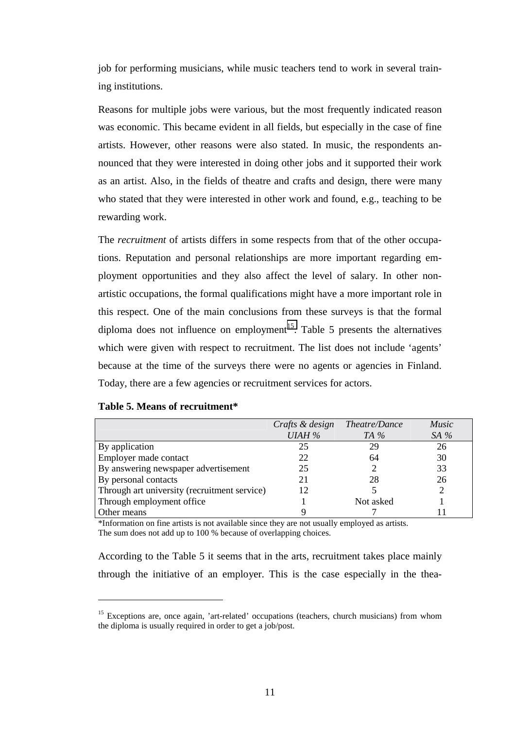job for performing musicians, while music teachers tend to work in several training institutions.

Reasons for multiple jobs were various, but the most frequently indicated reason was economic. This became evident in all fields, but especially in the case of fine artists. However, other reasons were also stated. In music, the respondents announced that they were interested in doing other jobs and it supported their work as an artist. Also, in the fields of theatre and crafts and design, there were many who stated that they were interested in other work and found, e.g., teaching to be rewarding work.

The *recruitment* of artists differs in some respects from that of the other occupations. Reputation and personal relationships are more important regarding employment opportunities and they also affect the level of salary. In other nonartistic occupations, the formal qualifications might have a more important role in this respect. One of the main conclusions from these surveys is that the formal diploma does not influence on employment<sup>15</sup>. Table 5 presents the alternatives which were given with respect to recruitment. The list does not include 'agents' because at the time of the surveys there were no agents or agencies in Finland. Today, there are a few agencies or recruitment services for actors.

|  | Table 5. Means of recruitment* |  |
|--|--------------------------------|--|
|--|--------------------------------|--|

 $\overline{a}$ 

|                                              | Crafts & design Theatre/Dance |           | <i>Music</i> |
|----------------------------------------------|-------------------------------|-----------|--------------|
|                                              | <b>UIAH %</b>                 | TA $%$    | SA $%$       |
| By application                               | 25                            | 29        | 26           |
| Employer made contact                        | 22                            | 64        | 30           |
| By answering newspaper advertisement         | 25                            |           | 33           |
| By personal contacts                         | 21                            | 28        | 26           |
| Through art university (recruitment service) | 12.                           |           |              |
| Through employment office                    |                               | Not asked |              |
| Other means                                  |                               |           |              |

\*Information on fine artists is not available since they are not usually employed as artists. The sum does not add up to 100 % because of overlapping choices.

According to the Table 5 it seems that in the arts, recruitment takes place mainly through the initiative of an employer. This is the case especially in the thea-

<sup>&</sup>lt;sup>15</sup> Exceptions are, once again, 'art-related' occupations (teachers, church musicians) from whom the diploma is usually required in order to get a job/post.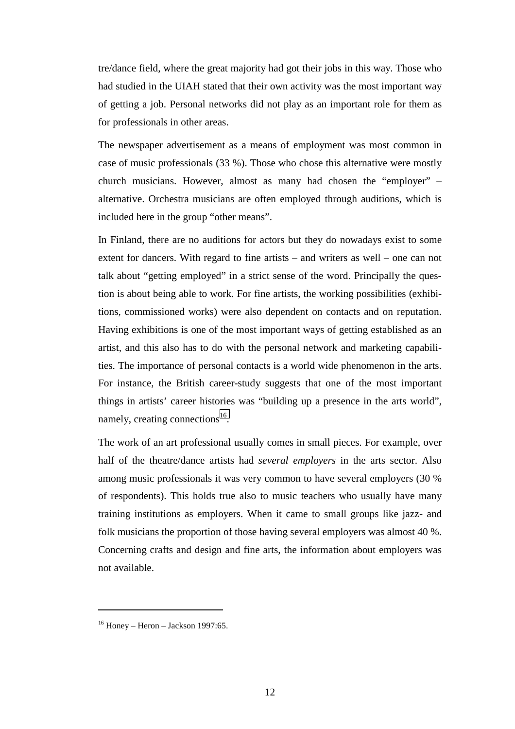tre/dance field, where the great majority had got their jobs in this way. Those who had studied in the UIAH stated that their own activity was the most important way of getting a job. Personal networks did not play as an important role for them as for professionals in other areas.

The newspaper advertisement as a means of employment was most common in case of music professionals (33 %). Those who chose this alternative were mostly church musicians. However, almost as many had chosen the "employer" – alternative. Orchestra musicians are often employed through auditions, which is included here in the group "other means".

In Finland, there are no auditions for actors but they do nowadays exist to some extent for dancers. With regard to fine artists – and writers as well – one can not talk about "getting employed" in a strict sense of the word. Principally the question is about being able to work. For fine artists, the working possibilities (exhibitions, commissioned works) were also dependent on contacts and on reputation. Having exhibitions is one of the most important ways of getting established as an artist, and this also has to do with the personal network and marketing capabilities. The importance of personal contacts is a world wide phenomenon in the arts. For instance, the British career-study suggests that one of the most important things in artists' career histories was "building up a presence in the arts world", namely, creating connections $^{16}$ .

The work of an art professional usually comes in small pieces. For example, over half of the theatre/dance artists had *several employers* in the arts sector. Also among music professionals it was very common to have several employers (30 % of respondents). This holds true also to music teachers who usually have many training institutions as employers. When it came to small groups like jazz- and folk musicians the proportion of those having several employers was almost 40 %. Concerning crafts and design and fine arts, the information about employers was not available.

 $16$  Honey – Heron – Jackson 1997:65.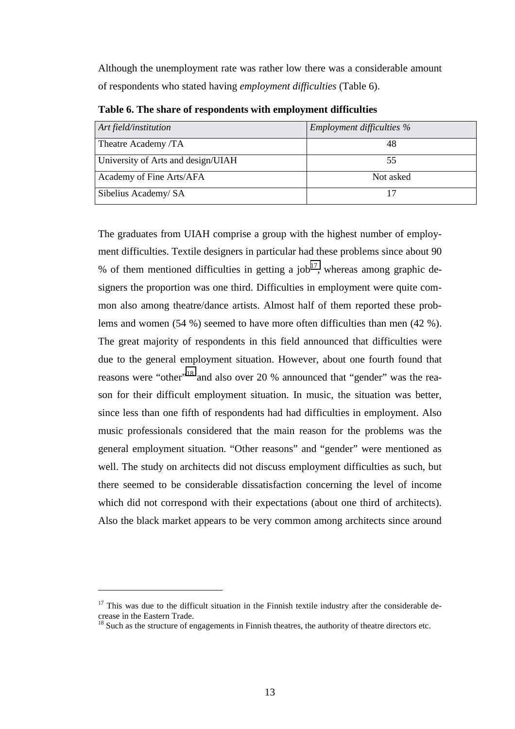Although the unemployment rate was rather low there was a considerable amount of respondents who stated having *employment difficulties* (Table 6).

| Art field/institution              | <i>Employment difficulties</i> % |
|------------------------------------|----------------------------------|
| Theatre Academy /TA                | 48                               |
| University of Arts and design/UIAH | 55                               |
| Academy of Fine Arts/AFA           | Not asked                        |
| Sibelius Academy/ SA               |                                  |

**Table 6. The share of respondents with employment difficulties** 

The graduates from UIAH comprise a group with the highest number of employment difficulties. Textile designers in particular had these problems since about 90 % of them mentioned difficulties in getting a job<sup>17</sup>, whereas among graphic designers the proportion was one third. Difficulties in employment were quite common also among theatre/dance artists. Almost half of them reported these problems and women (54 %) seemed to have more often difficulties than men (42 %). The great majority of respondents in this field announced that difficulties were due to the general employment situation. However, about one fourth found that reasons were "other"<sup>18</sup> and also over 20 % announced that "gender" was the reason for their difficult employment situation. In music, the situation was better, since less than one fifth of respondents had had difficulties in employment. Also music professionals considered that the main reason for the problems was the general employment situation. "Other reasons" and "gender" were mentioned as well. The study on architects did not discuss employment difficulties as such, but there seemed to be considerable dissatisfaction concerning the level of income which did not correspond with their expectations (about one third of architects). Also the black market appears to be very common among architects since around

 $17$  This was due to the difficult situation in the Finnish textile industry after the considerable decrease in the Eastern Trade.

 $18$  Such as the structure of engagements in Finnish theatres, the authority of theatre directors etc.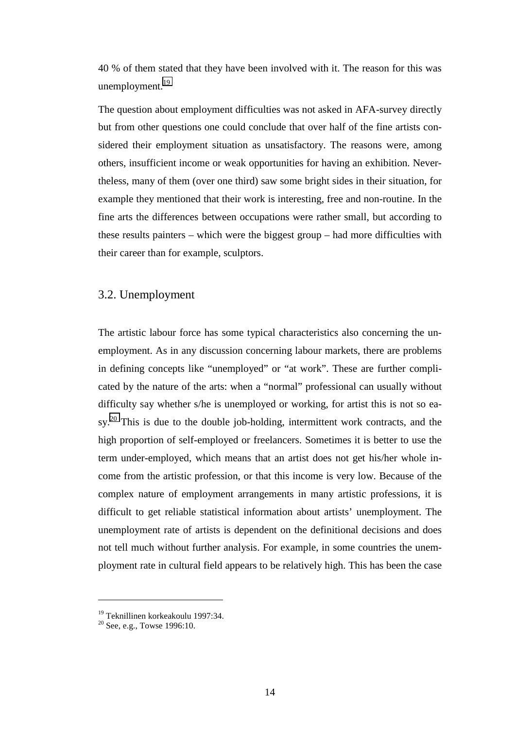<span id="page-14-0"></span>40 % of them stated that they have been involved with it. The reason for this was unemployment. $19$ 

The question about employment difficulties was not asked in AFA-survey directly but from other questions one could conclude that over half of the fine artists considered their employment situation as unsatisfactory. The reasons were, among others, insufficient income or weak opportunities for having an exhibition. Nevertheless, many of them (over one third) saw some bright sides in their situation, for example they mentioned that their work is interesting, free and non-routine. In the fine arts the differences between occupations were rather small, but according to these results painters – which were the biggest group – had more difficulties with their career than for example, sculptors.

#### 3.2. Unemployment

The artistic labour force has some typical characteristics also concerning the unemployment. As in any discussion concerning labour markets, there are problems in defining concepts like "unemployed" or "at work". These are further complicated by the nature of the arts: when a "normal" professional can usually without difficulty say whether s/he is unemployed or working, for artist this is not so ea $sy<sup>20</sup>$  This is due to the double job-holding, intermittent work contracts, and the high proportion of self-employed or freelancers. Sometimes it is better to use the term under-employed, which means that an artist does not get his/her whole income from the artistic profession, or that this income is very low. Because of the complex nature of employment arrangements in many artistic professions, it is difficult to get reliable statistical information about artists' unemployment. The unemployment rate of artists is dependent on the definitional decisions and does not tell much without further analysis. For example, in some countries the unemployment rate in cultural field appears to be relatively high. This has been the case

<sup>&</sup>lt;sup>19</sup> Teknillinen korkeakoulu 1997:34.

 $20$  See, e.g., Towse 1996:10.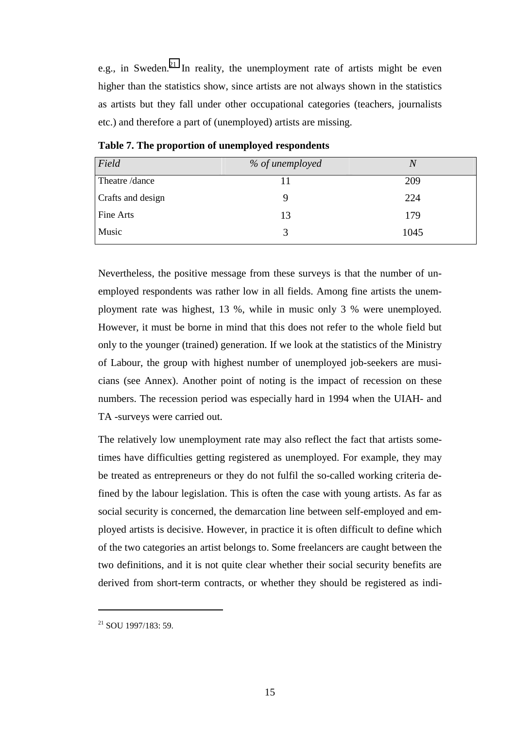e.g., in Sweden. $21$  In reality, the unemployment rate of artists might be even higher than the statistics show, since artists are not always shown in the statistics as artists but they fall under other occupational categories (teachers, journalists etc.) and therefore a part of (unemployed) artists are missing.

| Field             | % of unemployed | N    |
|-------------------|-----------------|------|
| Theatre /dance    | 11              | 209  |
| Crafts and design | Q               | 224  |
| Fine Arts         | 13              | 179  |
| Music             | $\mathcal{R}$   | 1045 |

**Table 7. The proportion of unemployed respondents** 

Nevertheless, the positive message from these surveys is that the number of unemployed respondents was rather low in all fields. Among fine artists the unemployment rate was highest, 13 %, while in music only 3 % were unemployed. However, it must be borne in mind that this does not refer to the whole field but only to the younger (trained) generation. If we look at the statistics of the Ministry of Labour, the group with highest number of unemployed job-seekers are musicians (see Annex). Another point of noting is the impact of recession on these numbers. The recession period was especially hard in 1994 when the UIAH- and TA -surveys were carried out.

The relatively low unemployment rate may also reflect the fact that artists sometimes have difficulties getting registered as unemployed. For example, they may be treated as entrepreneurs or they do not fulfil the so-called working criteria defined by the labour legislation. This is often the case with young artists. As far as social security is concerned, the demarcation line between self-employed and employed artists is decisive. However, in practice it is often difficult to define which of the two categories an artist belongs to. Some freelancers are caught between the two definitions, and it is not quite clear whether their social security benefits are derived from short-term contracts, or whether they should be registered as indi-

 $^{21}$  SOII 1997/183: 59.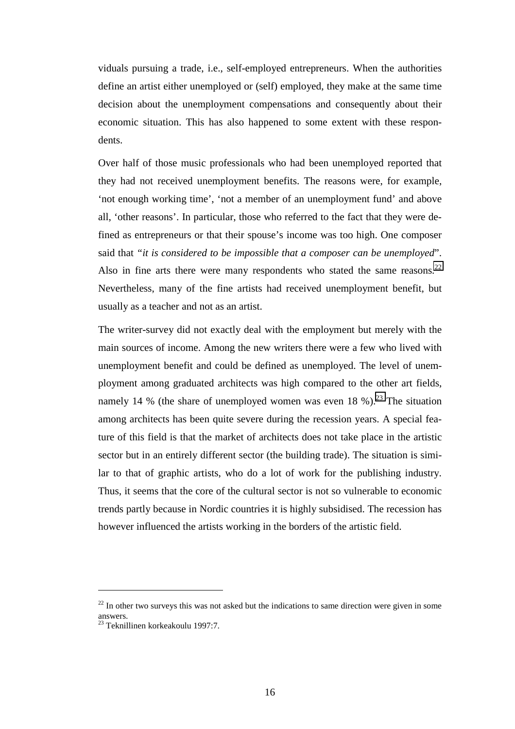viduals pursuing a trade, i.e., self-employed entrepreneurs. When the authorities define an artist either unemployed or (self) employed, they make at the same time decision about the unemployment compensations and consequently about their economic situation. This has also happened to some extent with these respondents.

Over half of those music professionals who had been unemployed reported that they had not received unemployment benefits. The reasons were, for example, 'not enough working time', 'not a member of an unemployment fund' and above all, 'other reasons'. In particular, those who referred to the fact that they were defined as entrepreneurs or that their spouse's income was too high. One composer said that *"it is considered to be impossible that a composer can be unemployed*". Also in fine arts there were many respondents who stated the same reasons.<sup>22</sup> Nevertheless, many of the fine artists had received unemployment benefit, but usually as a teacher and not as an artist.

The writer-survey did not exactly deal with the employment but merely with the main sources of income. Among the new writers there were a few who lived with unemployment benefit and could be defined as unemployed. The level of unemployment among graduated architects was high compared to the other art fields, namely 14 % (the share of unemployed women was even  $18$  %).<sup>23</sup> The situation among architects has been quite severe during the recession years. A special feature of this field is that the market of architects does not take place in the artistic sector but in an entirely different sector (the building trade). The situation is similar to that of graphic artists, who do a lot of work for the publishing industry. Thus, it seems that the core of the cultural sector is not so vulnerable to economic trends partly because in Nordic countries it is highly subsidised. The recession has however influenced the artists working in the borders of the artistic field.

 $22$  In other two surveys this was not asked but the indications to same direction were given in some answers.

<sup>23</sup> Teknillinen korkeakoulu 1997:7.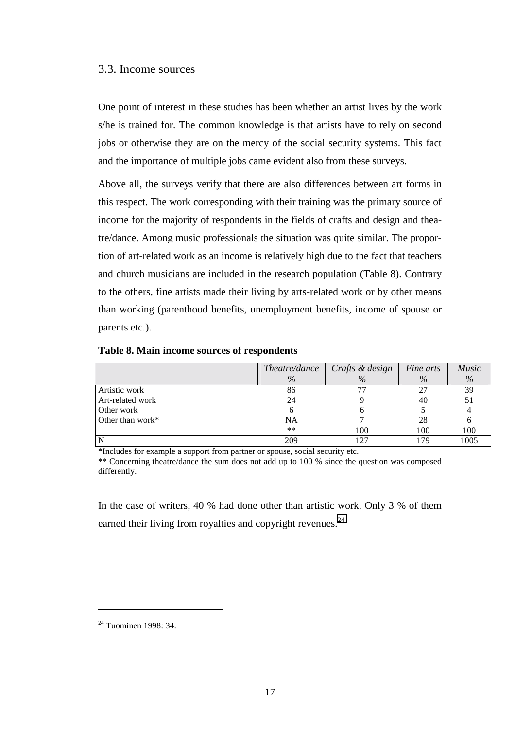#### <span id="page-17-0"></span>3.3. Income sources

One point of interest in these studies has been whether an artist lives by the work s/he is trained for. The common knowledge is that artists have to rely on second jobs or otherwise they are on the mercy of the social security systems. This fact and the importance of multiple jobs came evident also from these surveys.

Above all, the surveys verify that there are also differences between art forms in this respect. The work corresponding with their training was the primary source of income for the majority of respondents in the fields of crafts and design and theatre/dance. Among music professionals the situation was quite similar. The proportion of art-related work as an income is relatively high due to the fact that teachers and church musicians are included in the research population (Table 8). Contrary to the others, fine artists made their living by arts-related work or by other means than working (parenthood benefits, unemployment benefits, income of spouse or parents etc.).

|                     | Theatre/dance | $\int$ Crafts & design | Fine arts | $M$ usi |
|---------------------|---------------|------------------------|-----------|---------|
|                     | $\%$          | $\%$                   | $\%$      | $\%$    |
| Artistic work       | 86            |                        |           | 39      |
| Art-related work    | 24            |                        | 40        |         |
| Other work          |               |                        |           |         |
| Other than work $*$ | NA            |                        |           |         |

*Music %* 

**Table 8. Main income sources of respondents** 

\*Includes for example a support from partner or spouse, social security etc.

\*\* Concerning theatre/dance the sum does not add up to 100 % since the question was composed differently.

 \*\* 100 100 100 N 209 127 179 1005

In the case of writers, 40 % had done other than artistic work. Only 3 % of them earned their living from royalties and copyright revenues.<sup>24</sup>

<sup>24</sup> Tuominen 1998: 34.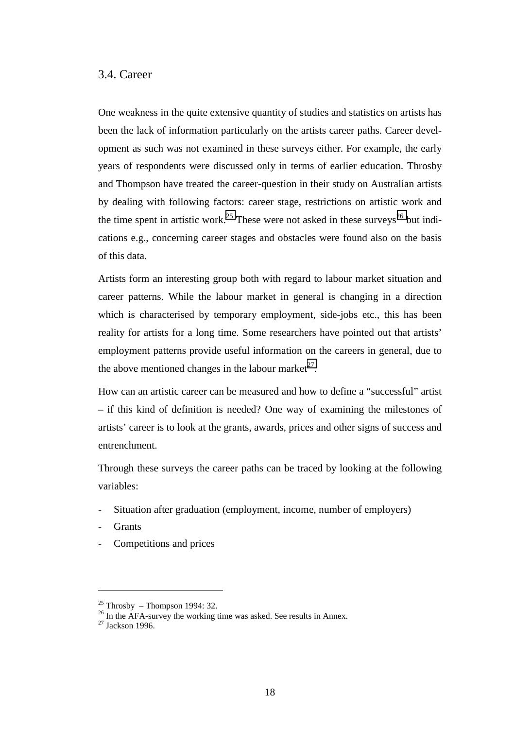## <span id="page-18-0"></span>3.4. Career

One weakness in the quite extensive quantity of studies and statistics on artists has been the lack of information particularly on the artists career paths. Career development as such was not examined in these surveys either. For example, the early years of respondents were discussed only in terms of earlier education. Throsby and Thompson have treated the career-question in their study on Australian artists by dealing with following factors: career stage, restrictions on artistic work and the time spent in artistic work.<sup>25</sup> These were not asked in these surveys<sup>26</sup> but indications e.g., concerning career stages and obstacles were found also on the basis of this data.

Artists form an interesting group both with regard to labour market situation and career patterns. While the labour market in general is changing in a direction which is characterised by temporary employment, side-jobs etc., this has been reality for artists for a long time. Some researchers have pointed out that artists' employment patterns provide useful information on the careers in general, due to the above mentioned changes in the labour market<sup>27</sup>.

How can an artistic career can be measured and how to define a "successful" artist – if this kind of definition is needed? One way of examining the milestones of artists' career is to look at the grants, awards, prices and other signs of success and entrenchment.

Through these surveys the career paths can be traced by looking at the following variables:

- Situation after graduation (employment, income, number of employers)
- **Grants**

 $\overline{a}$ 

Competitions and prices

 $25$  Throsby – Thompson 1994: 32.

 $26$  In the AFA-survey the working time was asked. See results in Annex.

 $27$  Jackson 1996.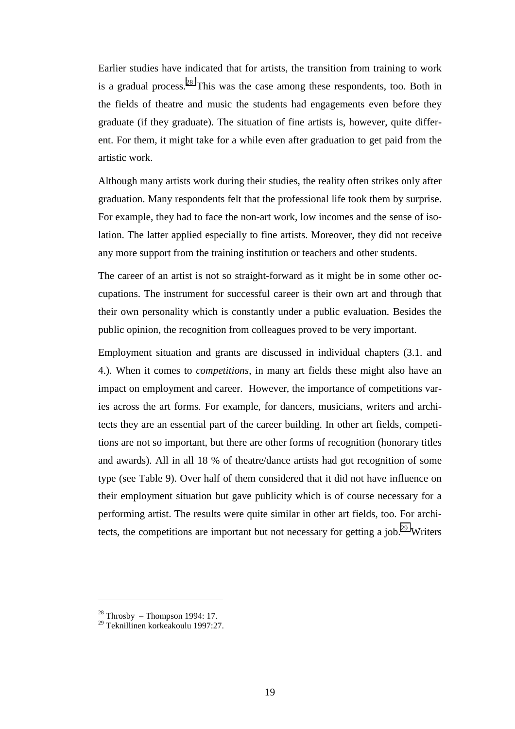Earlier studies have indicated that for artists, the transition from training to work is a gradual process.<sup>28</sup> This was the case among these respondents, too. Both in the fields of theatre and music the students had engagements even before they graduate (if they graduate). The situation of fine artists is, however, quite different. For them, it might take for a while even after graduation to get paid from the artistic work.

Although many artists work during their studies, the reality often strikes only after graduation. Many respondents felt that the professional life took them by surprise. For example, they had to face the non-art work, low incomes and the sense of isolation. The latter applied especially to fine artists. Moreover, they did not receive any more support from the training institution or teachers and other students.

The career of an artist is not so straight-forward as it might be in some other occupations. The instrument for successful career is their own art and through that their own personality which is constantly under a public evaluation. Besides the public opinion, the recognition from colleagues proved to be very important.

Employment situation and grants are discussed in individual chapters (3.1. and 4.). When it comes to *competitions*, in many art fields these might also have an impact on employment and career. However, the importance of competitions varies across the art forms. For example, for dancers, musicians, writers and architects they are an essential part of the career building. In other art fields, competitions are not so important, but there are other forms of recognition (honorary titles and awards). All in all 18 % of theatre/dance artists had got recognition of some type (see Table 9). Over half of them considered that it did not have influence on their employment situation but gave publicity which is of course necessary for a performing artist. The results were quite similar in other art fields, too. For architects, the competitions are important but not necessary for getting a job.<sup>29</sup> Writers

 $28$  Throsby – Thompson 1994: 17.

<sup>29</sup> Teknillinen korkeakoulu 1997:27.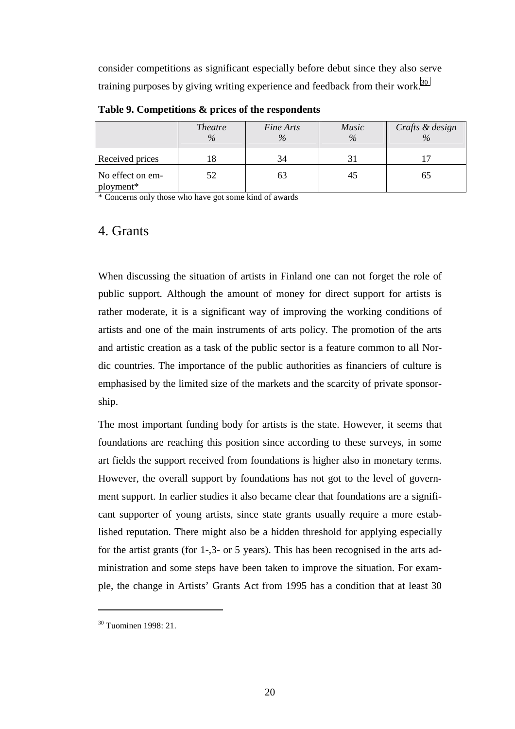<span id="page-20-0"></span>consider competitions as significant especially before debut since they also serve training purposes by giving writing experience and feedback from their work.<sup>30</sup>

|                               | <b>Theatre</b><br>$\%$ | Fine Arts<br>$\%$ | Music<br>$\%$ | Crafts & design<br>$\frac{0}{0}$ |
|-------------------------------|------------------------|-------------------|---------------|----------------------------------|
| Received prices               | ıο                     | 34                |               |                                  |
| No effect on em-<br>ployment* | 52                     | 63                | 45            | 65                               |

**Table 9. Competitions & prices of the respondents** 

\* Concerns only those who have got some kind of awards

## 4. Grants

When discussing the situation of artists in Finland one can not forget the role of public support. Although the amount of money for direct support for artists is rather moderate, it is a significant way of improving the working conditions of artists and one of the main instruments of arts policy. The promotion of the arts and artistic creation as a task of the public sector is a feature common to all Nordic countries. The importance of the public authorities as financiers of culture is emphasised by the limited size of the markets and the scarcity of private sponsorship.

The most important funding body for artists is the state. However, it seems that foundations are reaching this position since according to these surveys, in some art fields the support received from foundations is higher also in monetary terms. However, the overall support by foundations has not got to the level of government support. In earlier studies it also became clear that foundations are a significant supporter of young artists, since state grants usually require a more established reputation. There might also be a hidden threshold for applying especially for the artist grants (for 1-,3- or 5 years). This has been recognised in the arts administration and some steps have been taken to improve the situation. For example, the change in Artists' Grants Act from 1995 has a condition that at least 30

 $30$  Tuominen 1998: 21.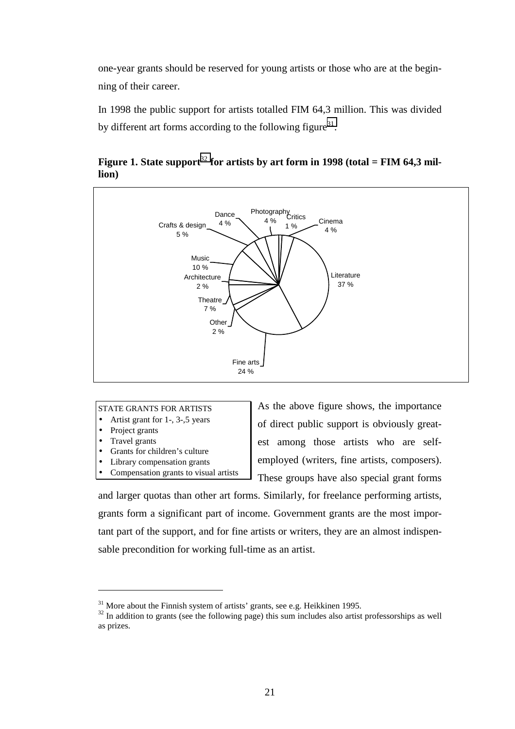one-year grants should be reserved for young artists or those who are at the beginning of their career.

In 1998 the public support for artists totalled FIM 64,3 million. This was divided by different art forms according to the following figure<sup>31</sup>.



Figure 1. State support<sup>32</sup> for artists by art form in 1998 (total = FIM 64.3 mil**lion)** 

#### STATE GRANTS FOR ARTISTS

- Artist grant for 1-, 3-,5 years
- Project grants
- Travel grants

 $\overline{a}$ 

- Grants for children's culture
- Library compensation grants
- Compensation grants to visual artists

As the above figure shows, the importance of direct public support is obviously greatest among those artists who are selfemployed (writers, fine artists, composers). These groups have also special grant forms

and larger quotas than other art forms. Similarly, for freelance performing artists, grants form a significant part of income. Government grants are the most important part of the support, and for fine artists or writers, they are an almost indispensable precondition for working full-time as an artist.

 $31$  More about the Finnish system of artists' grants, see e.g. Heikkinen 1995.

<sup>&</sup>lt;sup>32</sup> In addition to grants (see the following page) this sum includes also artist professorships as well as prizes.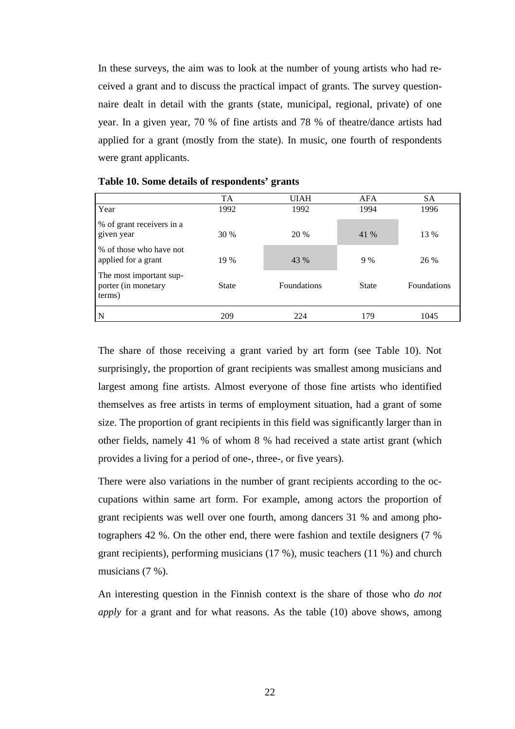In these surveys, the aim was to look at the number of young artists who had received a grant and to discuss the practical impact of grants. The survey questionnaire dealt in detail with the grants (state, municipal, regional, private) of one year. In a given year, 70 % of fine artists and 78 % of theatre/dance artists had applied for a grant (mostly from the state). In music, one fourth of respondents were grant applicants.

|                                                          | <b>TA</b>    | <b>UIAH</b>        | AFA          | <b>SA</b>          |
|----------------------------------------------------------|--------------|--------------------|--------------|--------------------|
| Year                                                     | 1992         | 1992               | 1994         | 1996               |
| % of grant receivers in a<br>given year                  | 30 %         | 20 %               | 41 %         | 13 %               |
| % of those who have not<br>applied for a grant           | 19 %         | 43 %               | 9%           | 26 %               |
| The most important sup-<br>porter (in monetary<br>terms) | <b>State</b> | <b>Foundations</b> | <b>State</b> | <b>Foundations</b> |
| N                                                        | 209          | 224                | 179          | 1045               |

|  |  | Table 10. Some details of respondents' grants |  |
|--|--|-----------------------------------------------|--|
|--|--|-----------------------------------------------|--|

The share of those receiving a grant varied by art form (see Table 10). Not surprisingly, the proportion of grant recipients was smallest among musicians and largest among fine artists. Almost everyone of those fine artists who identified themselves as free artists in terms of employment situation, had a grant of some size. The proportion of grant recipients in this field was significantly larger than in other fields, namely 41 % of whom 8 % had received a state artist grant (which provides a living for a period of one-, three-, or five years).

There were also variations in the number of grant recipients according to the occupations within same art form. For example, among actors the proportion of grant recipients was well over one fourth, among dancers 31 % and among photographers 42 %. On the other end, there were fashion and textile designers (7 % grant recipients), performing musicians (17 %), music teachers (11 %) and church musicians (7 %).

An interesting question in the Finnish context is the share of those who *do not apply* for a grant and for what reasons. As the table (10) above shows, among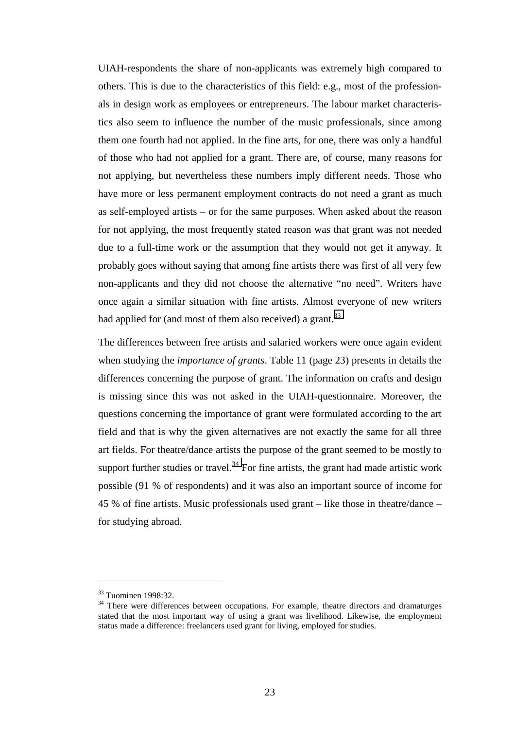UIAH-respondents the share of non-applicants was extremely high compared to others. This is due to the characteristics of this field: e.g., most of the professionals in design work as employees or entrepreneurs. The labour market characteristics also seem to influence the number of the music professionals, since among them one fourth had not applied. In the fine arts, for one, there was only a handful of those who had not applied for a grant. There are, of course, many reasons for not applying, but nevertheless these numbers imply different needs. Those who have more or less permanent employment contracts do not need a grant as much as self-employed artists – or for the same purposes. When asked about the reason for not applying, the most frequently stated reason was that grant was not needed due to a full-time work or the assumption that they would not get it anyway. It probably goes without saying that among fine artists there was first of all very few non-applicants and they did not choose the alternative "no need". Writers have once again a similar situation with fine artists. Almost everyone of new writers had applied for (and most of them also received) a grant.  $33$ 

The differences between free artists and salaried workers were once again evident when studying the *importance of grants*. Table 11 (page 23) presents in details the differences concerning the purpose of grant. The information on crafts and design is missing since this was not asked in the UIAH-questionnaire. Moreover, the questions concerning the importance of grant were formulated according to the art field and that is why the given alternatives are not exactly the same for all three art fields. For theatre/dance artists the purpose of the grant seemed to be mostly to support further studies or travel.<sup>34</sup> For fine artists, the grant had made artistic work possible (91 % of respondents) and it was also an important source of income for 45 % of fine artists. Music professionals used grant – like those in theatre/dance – for studying abroad.

<sup>33</sup> Tuominen 1998:32.

<sup>&</sup>lt;sup>34</sup> There were differences between occupations. For example, theatre directors and dramaturges stated that the most important way of using a grant was livelihood. Likewise, the employment status made a difference: freelancers used grant for living, employed for studies.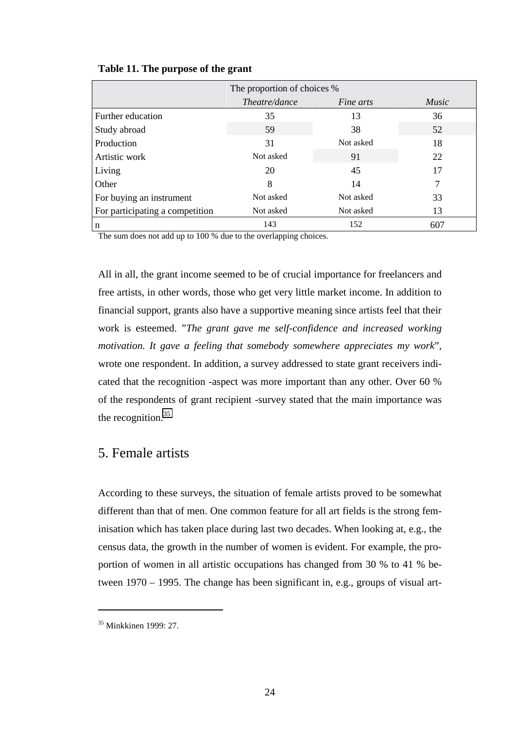|                                 | The proportion of choices % |                  |              |  |
|---------------------------------|-----------------------------|------------------|--------------|--|
|                                 | <i>Theatre/dance</i>        | <i>Fine arts</i> | <i>Music</i> |  |
| Further education               | 35                          | 13               | 36           |  |
| Study abroad                    | 59                          | 38               | 52           |  |
| Production                      | 31                          | Not asked        | 18           |  |
| Artistic work                   | Not asked                   | 91               | 22           |  |
| Living                          | 20                          | 45               | 17           |  |
| Other                           | 8                           | 14               | 7            |  |
| For buying an instrument        | Not asked                   | Not asked        | 33           |  |
| For participating a competition | Not asked                   | Not asked        | 13           |  |
| n                               | 143                         | 152              | 607          |  |

<span id="page-24-0"></span>**Table 11. The purpose of the grant** 

The sum does not add up to 100 % due to the overlapping choices.

All in all, the grant income seemed to be of crucial importance for freelancers and free artists, in other words, those who get very little market income. In addition to financial support, grants also have a supportive meaning since artists feel that their work is esteemed. "*The grant gave me self-confidence and increased working motivation. It gave a feeling that somebody somewhere appreciates my work*", wrote one respondent. In addition, a survey addressed to state grant receivers indicated that the recognition -aspect was more important than any other. Over 60 % of the respondents of grant recipient -survey stated that the main importance was the recognition. $35$ 

## 5. Female artists

According to these surveys, the situation of female artists proved to be somewhat different than that of men. One common feature for all art fields is the strong feminisation which has taken place during last two decades. When looking at, e.g., the census data, the growth in the number of women is evident. For example, the proportion of women in all artistic occupations has changed from 30 % to 41 % between 1970 – 1995. The change has been significant in, e.g., groups of visual art-

 $35$  Minkkinen 1999 $\cdot$  27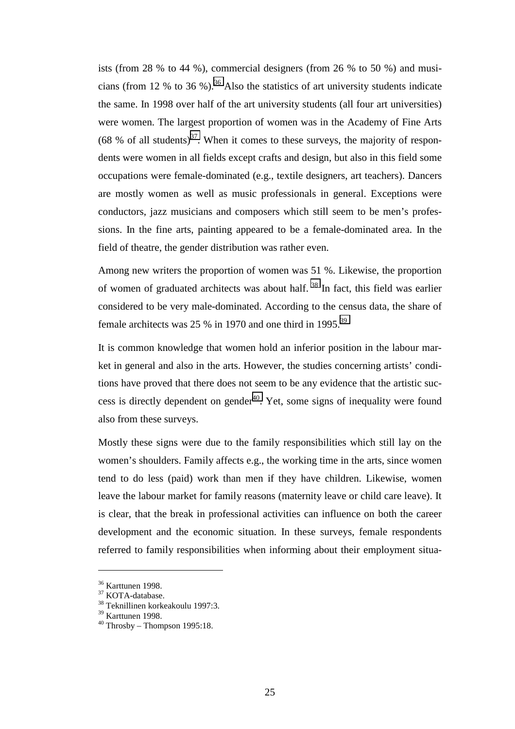ists (from 28 % to 44 %), commercial designers (from 26 % to 50 %) and musicians (from 12 % to 36 %).<sup>36</sup> Also the statistics of art university students indicate the same. In 1998 over half of the art university students (all four art universities) were women. The largest proportion of women was in the Academy of Fine Arts (68 % of all students)<sup>37</sup>. When it comes to these surveys, the majority of respondents were women in all fields except crafts and design, but also in this field some occupations were female-dominated (e.g., textile designers, art teachers). Dancers are mostly women as well as music professionals in general. Exceptions were conductors, jazz musicians and composers which still seem to be men's professions. In the fine arts, painting appeared to be a female-dominated area. In the field of theatre, the gender distribution was rather even.

Among new writers the proportion of women was 51 %. Likewise, the proportion of women of graduated architects was about half.  $38$  In fact, this field was earlier considered to be very male-dominated. According to the census data, the share of female architects was 25 % in 1970 and one third in 1995.<sup>39</sup>

It is common knowledge that women hold an inferior position in the labour market in general and also in the arts. However, the studies concerning artists' conditions have proved that there does not seem to be any evidence that the artistic success is directly dependent on gender $40$ . Yet, some signs of inequality were found also from these surveys.

Mostly these signs were due to the family responsibilities which still lay on the women's shoulders. Family affects e.g., the working time in the arts, since women tend to do less (paid) work than men if they have children. Likewise, women leave the labour market for family reasons (maternity leave or child care leave). It is clear, that the break in professional activities can influence on both the career development and the economic situation. In these surveys, female respondents referred to family responsibilities when informing about their employment situa-

<sup>36</sup> Karttunen 1998.

<sup>&</sup>lt;sup>37</sup> KOTA-database.

<sup>38</sup> Teknillinen korkeakoulu 1997:3.

<sup>39</sup> Karttunen 1998.

 $^{40}$  Throsby – Thompson 1995:18.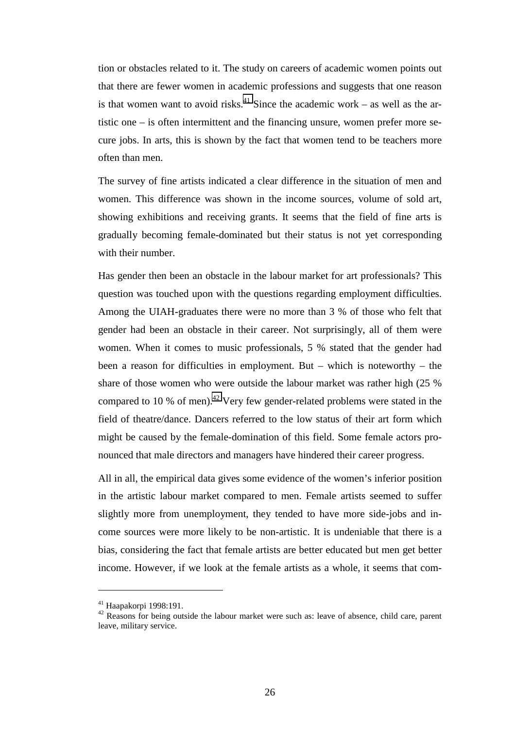tion or obstacles related to it. The study on careers of academic women points out that there are fewer women in academic professions and suggests that one reason is that women want to avoid risks.<sup>41</sup> Since the academic work – as well as the artistic one – is often intermittent and the financing unsure, women prefer more secure jobs. In arts, this is shown by the fact that women tend to be teachers more often than men.

The survey of fine artists indicated a clear difference in the situation of men and women. This difference was shown in the income sources, volume of sold art, showing exhibitions and receiving grants. It seems that the field of fine arts is gradually becoming female-dominated but their status is not yet corresponding with their number.

Has gender then been an obstacle in the labour market for art professionals? This question was touched upon with the questions regarding employment difficulties. Among the UIAH-graduates there were no more than 3 % of those who felt that gender had been an obstacle in their career. Not surprisingly, all of them were women. When it comes to music professionals, 5 % stated that the gender had been a reason for difficulties in employment. But – which is noteworthy – the share of those women who were outside the labour market was rather high (25 % compared to 10 % of men).<sup>42</sup> Very few gender-related problems were stated in the field of theatre/dance. Dancers referred to the low status of their art form which might be caused by the female-domination of this field. Some female actors pronounced that male directors and managers have hindered their career progress.

All in all, the empirical data gives some evidence of the women's inferior position in the artistic labour market compared to men. Female artists seemed to suffer slightly more from unemployment, they tended to have more side-jobs and income sources were more likely to be non-artistic. It is undeniable that there is a bias, considering the fact that female artists are better educated but men get better income. However, if we look at the female artists as a whole, it seems that com-

<sup>41</sup> Haapakorpi 1998:191.

 $42$  Reasons for being outside the labour market were such as: leave of absence, child care, parent leave, military service.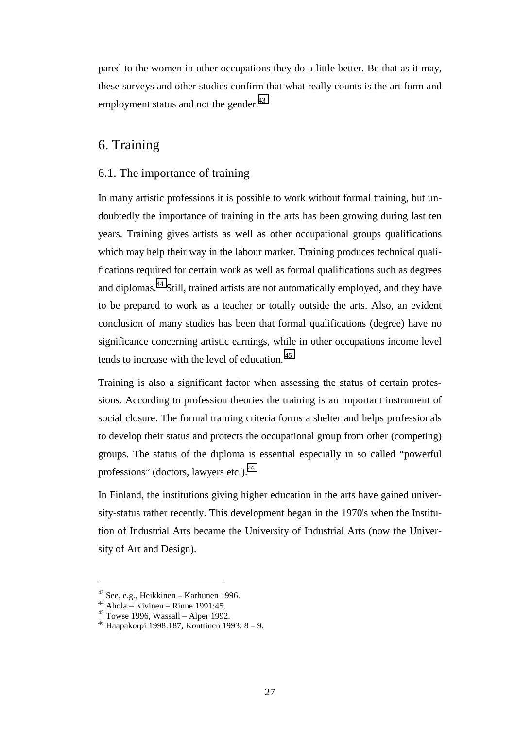<span id="page-27-0"></span>pared to the women in other occupations they do a little better. Be that as it may, these surveys and other studies confirm that what really counts is the art form and employment status and not the gender.<sup>43</sup>

## 6. Training

### 6.1. The importance of training

In many artistic professions it is possible to work without formal training, but undoubtedly the importance of training in the arts has been growing during last ten years. Training gives artists as well as other occupational groups qualifications which may help their way in the labour market. Training produces technical qualifications required for certain work as well as formal qualifications such as degrees and diplomas.44 Still, trained artists are not automatically employed, and they have to be prepared to work as a teacher or totally outside the arts. Also, an evident conclusion of many studies has been that formal qualifications (degree) have no significance concerning artistic earnings, while in other occupations income level tends to increase with the level of education. 45

Training is also a significant factor when assessing the status of certain professions. According to profession theories the training is an important instrument of social closure. The formal training criteria forms a shelter and helps professionals to develop their status and protects the occupational group from other (competing) groups. The status of the diploma is essential especially in so called "powerful professions" (doctors, lawyers etc.).<sup>46</sup>

In Finland, the institutions giving higher education in the arts have gained university-status rather recently. This development began in the 1970's when the Institution of Industrial Arts became the University of Industrial Arts (now the University of Art and Design).

 $43$  See, e.g., Heikkinen – Karhunen 1996.

 $44$  Ahola – Kivinen – Rinne 1991:45.

 $45$  Towse 1996, Wassall – Alper 1992.

<sup>46</sup> Haapakorpi 1998:187, Konttinen 1993: 8 – 9.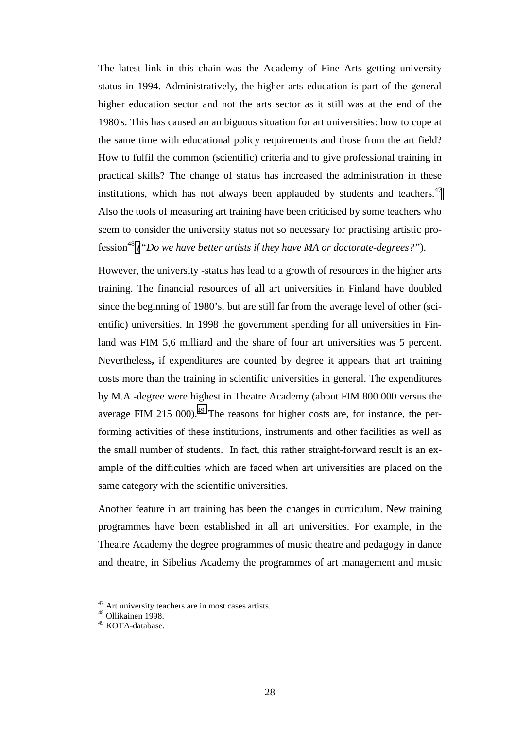The latest link in this chain was the Academy of Fine Arts getting university status in 1994. Administratively, the higher arts education is part of the general higher education sector and not the arts sector as it still was at the end of the 1980's. This has caused an ambiguous situation for art universities: how to cope at the same time with educational policy requirements and those from the art field? How to fulfil the common (scientific) criteria and to give professional training in practical skills? The change of status has increased the administration in these institutions, which has not always been applauded by students and teachers.<sup>47</sup> Also the tools of measuring art training have been criticised by some teachers who seem to consider the university status not so necessary for practising artistic profession48 *("Do we have better artists if they have MA or doctorate-degrees?"*).

However, the university -status has lead to a growth of resources in the higher arts training. The financial resources of all art universities in Finland have doubled since the beginning of 1980's, but are still far from the average level of other (scientific) universities. In 1998 the government spending for all universities in Finland was FIM 5,6 milliard and the share of four art universities was 5 percent. Nevertheless**,** if expenditures are counted by degree it appears that art training costs more than the training in scientific universities in general. The expenditures by M.A.-degree were highest in Theatre Academy (about FIM 800 000 versus the average FIM 215 000).<sup>49</sup> The reasons for higher costs are, for instance, the performing activities of these institutions, instruments and other facilities as well as the small number of students. In fact, this rather straight-forward result is an example of the difficulties which are faced when art universities are placed on the same category with the scientific universities.

Another feature in art training has been the changes in curriculum. New training programmes have been established in all art universities. For example, in the Theatre Academy the degree programmes of music theatre and pedagogy in dance and theatre, in Sibelius Academy the programmes of art management and music

<sup>&</sup>lt;sup>47</sup> Art university teachers are in most cases artists.

<sup>48</sup> Ollikainen 1998.

<sup>49</sup> KOTA-database.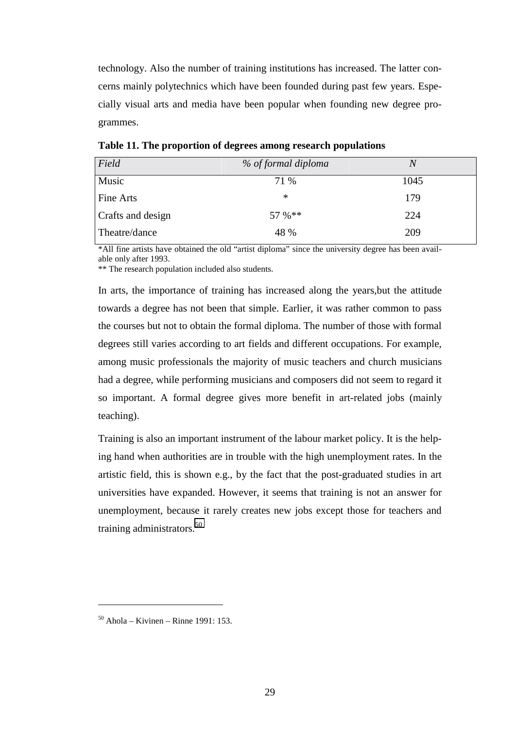technology. Also the number of training institutions has increased. The latter concerns mainly polytechnics which have been founded during past few years. Especially visual arts and media have been popular when founding new degree programmes.

| Field             | % of formal diploma | $\overline{N}$ |
|-------------------|---------------------|----------------|
| Music             | 71 %                | 1045           |
| Fine Arts         | $\ast$              | 179            |
| Crafts and design | 57 %**              | 224            |
| Theatre/dance     | 48 %                | 209            |

**Table 11. The proportion of degrees among research populations** 

\*All fine artists have obtained the old "artist diploma" since the university degree has been available only after 1993.

\*\* The research population included also students.

In arts, the importance of training has increased along the years,but the attitude towards a degree has not been that simple. Earlier, it was rather common to pass the courses but not to obtain the formal diploma. The number of those with formal degrees still varies according to art fields and different occupations. For example, among music professionals the majority of music teachers and church musicians had a degree, while performing musicians and composers did not seem to regard it so important. A formal degree gives more benefit in art-related jobs (mainly teaching).

Training is also an important instrument of the labour market policy. It is the helping hand when authorities are in trouble with the high unemployment rates. In the artistic field, this is shown e.g., by the fact that the post-graduated studies in art universities have expanded. However, it seems that training is not an answer for unemployment, because it rarely creates new jobs except those for teachers and training administrators.<sup>50</sup>

 $50$  Ahola – Kivinen – Rinne 1991: 153.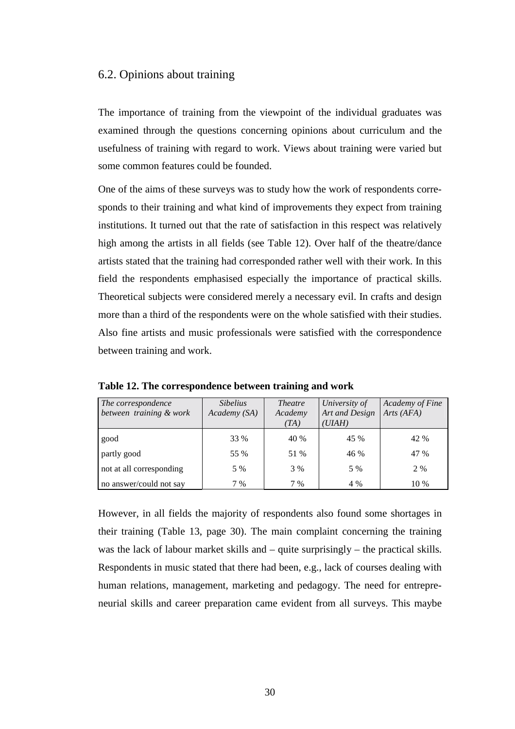## <span id="page-30-0"></span>6.2. Opinions about training

The importance of training from the viewpoint of the individual graduates was examined through the questions concerning opinions about curriculum and the usefulness of training with regard to work. Views about training were varied but some common features could be founded.

One of the aims of these surveys was to study how the work of respondents corresponds to their training and what kind of improvements they expect from training institutions. It turned out that the rate of satisfaction in this respect was relatively high among the artists in all fields (see Table 12). Over half of the theatre/dance artists stated that the training had corresponded rather well with their work. In this field the respondents emphasised especially the importance of practical skills. Theoretical subjects were considered merely a necessary evil. In crafts and design more than a third of the respondents were on the whole satisfied with their studies. Also fine artists and music professionals were satisfied with the correspondence between training and work.

| The correspondence<br>between training & work | <i>Sibelius</i><br>Academy (SA) | <i>Theatre</i><br>Academy | University of<br>Art and Design | Academy of Fine<br>Arts (AFA) |
|-----------------------------------------------|---------------------------------|---------------------------|---------------------------------|-------------------------------|
|                                               |                                 | (TA)                      | (UIAH)                          |                               |
| good                                          | 33 %                            | 40 %                      | 45 %                            | 42 %                          |
| partly good                                   | 55 %                            | 51 %                      | 46 %                            | 47 %                          |
| not at all corresponding                      | 5 %                             | 3 %                       | 5 %                             | 2 %                           |
| no answer/could not say                       | 7 %                             | 7 %                       | 4 %                             | 10 %                          |

**Table 12. The correspondence between training and work** 

However, in all fields the majority of respondents also found some shortages in their training (Table 13, page 30). The main complaint concerning the training was the lack of labour market skills and – quite surprisingly – the practical skills. Respondents in music stated that there had been, e.g., lack of courses dealing with human relations, management, marketing and pedagogy. The need for entrepreneurial skills and career preparation came evident from all surveys. This maybe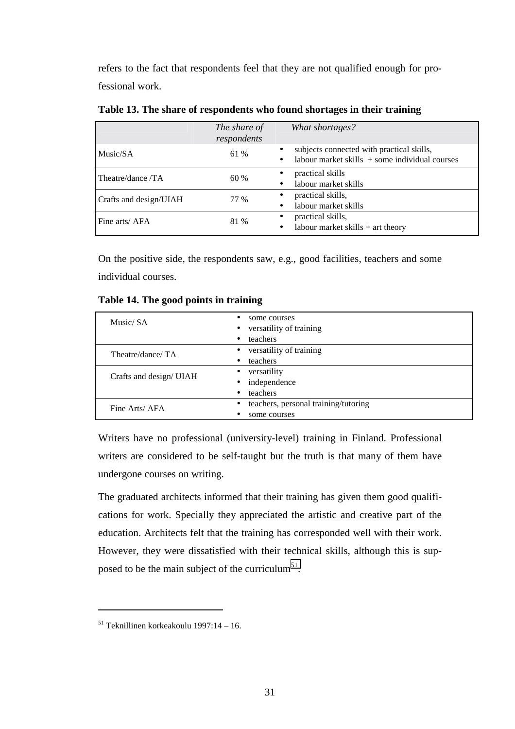refers to the fact that respondents feel that they are not qualified enough for professional work.

|                        | The share of | What shortages?                                               |  |
|------------------------|--------------|---------------------------------------------------------------|--|
|                        | respondents  |                                                               |  |
| Music/SA               | 61 %         | subjects connected with practical skills,<br>$\bullet$        |  |
|                        |              | labour market skills $+$ some individual courses<br>$\bullet$ |  |
| Theatre/dance /TA      | 60 %         | practical skills                                              |  |
|                        |              | labour market skills<br>$\bullet$                             |  |
| Crafts and design/UIAH | 77 %         | practical skills,                                             |  |
|                        |              | labour market skills<br>$\bullet$                             |  |
| Fine arts/AFA          | 81 %         | practical skills,                                             |  |
|                        |              | labour market skills $+$ art theory                           |  |

**Table 13. The share of respondents who found shortages in their training** 

On the positive side, the respondents saw, e.g., good facilities, teachers and some individual courses.

| Music/SA                | some courses<br>versatility of training<br>$\bullet$<br>teachers<br>٠ |  |  |
|-------------------------|-----------------------------------------------------------------------|--|--|
| Theatre/dance/TA        | versatility of training<br>$\bullet$<br>teachers<br>$\bullet$         |  |  |
| Crafts and design/ UIAH | versatility<br>independence<br>$\bullet$<br>teachers<br>٠             |  |  |
| Fine Arts/AFA           | teachers, personal training/tutoring<br>some courses                  |  |  |

**Table 14. The good points in training** 

Writers have no professional (university-level) training in Finland. Professional writers are considered to be self-taught but the truth is that many of them have undergone courses on writing.

The graduated architects informed that their training has given them good qualifications for work. Specially they appreciated the artistic and creative part of the education. Architects felt that the training has corresponded well with their work. However, they were dissatisfied with their technical skills, although this is supposed to be the main subject of the curriculum<sup>51</sup>.

 $51$  Teknillinen korkeakoulu 1997:14 – 16.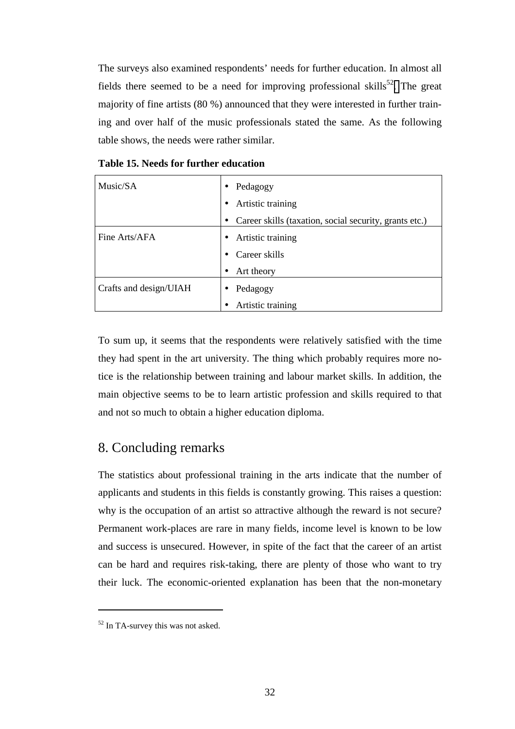<span id="page-32-0"></span>The surveys also examined respondents' needs for further education. In almost all fields there seemed to be a need for improving professional skills<sup>52</sup>. The great majority of fine artists (80 %) announced that they were interested in further training and over half of the music professionals stated the same. As the following table shows, the needs were rather similar.

| Music/SA                      | Pedagogy<br>$\bullet$                                  |  |  |
|-------------------------------|--------------------------------------------------------|--|--|
|                               | Artistic training                                      |  |  |
|                               | Career skills (taxation, social security, grants etc.) |  |  |
| Fine Arts/AFA                 | Artistic training                                      |  |  |
|                               | Career skills                                          |  |  |
|                               | Art theory                                             |  |  |
| <b>Crafts and design/UIAH</b> | Pedagogy                                               |  |  |
|                               | Artistic training                                      |  |  |

**Table 15. Needs for further education** 

To sum up, it seems that the respondents were relatively satisfied with the time they had spent in the art university. The thing which probably requires more notice is the relationship between training and labour market skills. In addition, the main objective seems to be to learn artistic profession and skills required to that and not so much to obtain a higher education diploma.

## 8. Concluding remarks

The statistics about professional training in the arts indicate that the number of applicants and students in this fields is constantly growing. This raises a question: why is the occupation of an artist so attractive although the reward is not secure? Permanent work-places are rare in many fields, income level is known to be low and success is unsecured. However, in spite of the fact that the career of an artist can be hard and requires risk-taking, there are plenty of those who want to try their luck. The economic-oriented explanation has been that the non-monetary

<sup>&</sup>lt;sup>52</sup> In TA-survey this was not asked.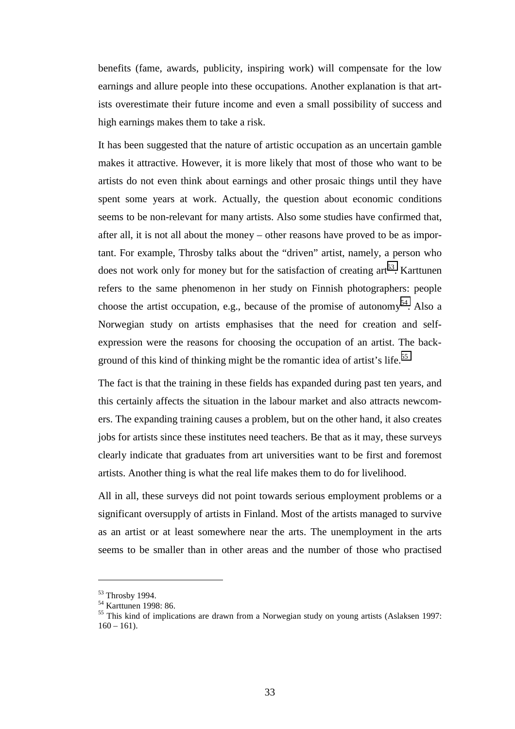benefits (fame, awards, publicity, inspiring work) will compensate for the low earnings and allure people into these occupations. Another explanation is that artists overestimate their future income and even a small possibility of success and high earnings makes them to take a risk.

It has been suggested that the nature of artistic occupation as an uncertain gamble makes it attractive. However, it is more likely that most of those who want to be artists do not even think about earnings and other prosaic things until they have spent some years at work. Actually, the question about economic conditions seems to be non-relevant for many artists. Also some studies have confirmed that, after all, it is not all about the money – other reasons have proved to be as important. For example, Throsby talks about the "driven" artist, namely, a person who does not work only for money but for the satisfaction of creating  $art^{53}$ . Karttunen refers to the same phenomenon in her study on Finnish photographers: people choose the artist occupation, e.g., because of the promise of autonomy<sup>54</sup>. Also a Norwegian study on artists emphasises that the need for creation and selfexpression were the reasons for choosing the occupation of an artist. The background of this kind of thinking might be the romantic idea of artist's life.<sup>55</sup>

The fact is that the training in these fields has expanded during past ten years, and this certainly affects the situation in the labour market and also attracts newcomers. The expanding training causes a problem, but on the other hand, it also creates jobs for artists since these institutes need teachers. Be that as it may, these surveys clearly indicate that graduates from art universities want to be first and foremost artists. Another thing is what the real life makes them to do for livelihood.

All in all, these surveys did not point towards serious employment problems or a significant oversupply of artists in Finland. Most of the artists managed to survive as an artist or at least somewhere near the arts. The unemployment in the arts seems to be smaller than in other areas and the number of those who practised

<sup>53</sup> Throsby 1994.

<sup>54</sup> Karttunen 1998: 86.

<sup>&</sup>lt;sup>55</sup> This kind of implications are drawn from a Norwegian study on young artists (Aslaksen 1997:  $160 - 161$ .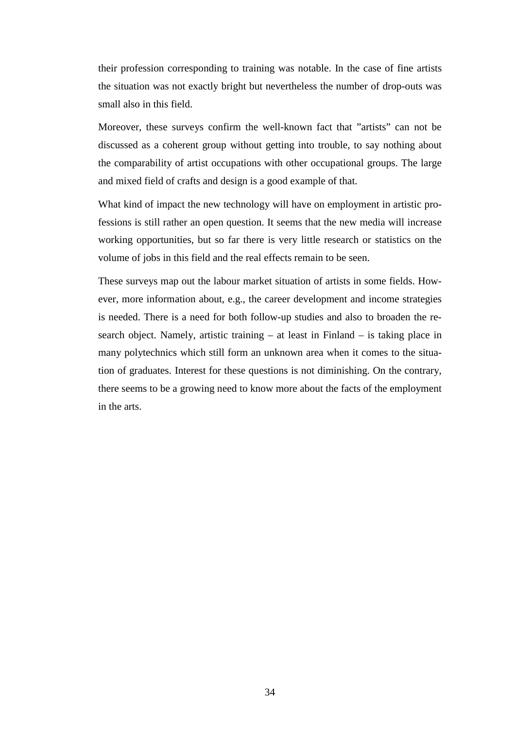their profession corresponding to training was notable. In the case of fine artists the situation was not exactly bright but nevertheless the number of drop-outs was small also in this field.

Moreover, these surveys confirm the well-known fact that "artists" can not be discussed as a coherent group without getting into trouble, to say nothing about the comparability of artist occupations with other occupational groups. The large and mixed field of crafts and design is a good example of that.

What kind of impact the new technology will have on employment in artistic professions is still rather an open question. It seems that the new media will increase working opportunities, but so far there is very little research or statistics on the volume of jobs in this field and the real effects remain to be seen.

These surveys map out the labour market situation of artists in some fields. However, more information about, e.g., the career development and income strategies is needed. There is a need for both follow-up studies and also to broaden the research object. Namely, artistic training – at least in Finland – is taking place in many polytechnics which still form an unknown area when it comes to the situation of graduates. Interest for these questions is not diminishing. On the contrary, there seems to be a growing need to know more about the facts of the employment in the arts.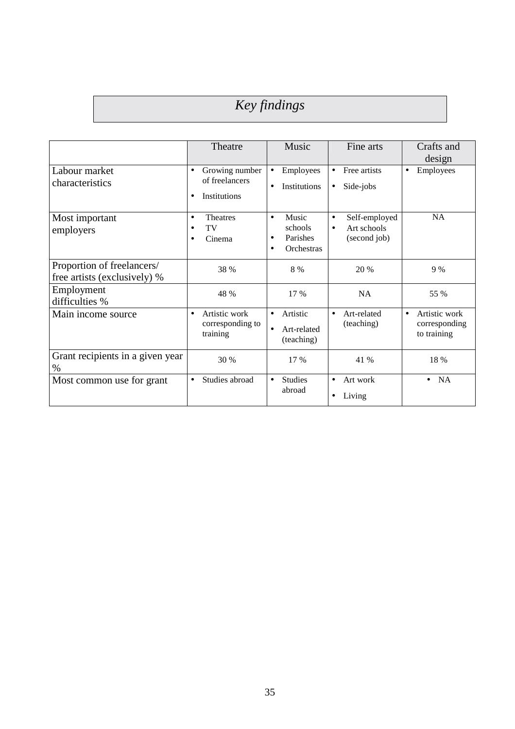# *Key findings*

|                                                            | Theatre                                                       | Music                                                           | Fine arts                                                              | Crafts and<br>design                                       |
|------------------------------------------------------------|---------------------------------------------------------------|-----------------------------------------------------------------|------------------------------------------------------------------------|------------------------------------------------------------|
| Labour market<br>characteristics                           | Growing number<br>$\bullet$<br>of freelancers<br>Institutions | Employees<br>$\bullet$<br><b>Institutions</b><br>$\bullet$      | Free artists<br>Side-jobs<br>$\bullet$                                 | Employees<br>$\bullet$                                     |
| Most important<br>employers                                | <b>Theatres</b><br>TV<br>Cinema                               | Music<br>$\bullet$<br>schools<br>Parishes<br><b>Orchestras</b>  | Self-employed<br>$\bullet$<br>Art schools<br>$\bullet$<br>(second job) | <b>NA</b>                                                  |
| Proportion of freelancers/<br>free artists (exclusively) % | 38 %                                                          | 8 %                                                             | 20 %                                                                   | 9%                                                         |
| Employment<br>difficulties %                               | 48 %                                                          | 17 %                                                            | <b>NA</b>                                                              | 55 %                                                       |
| Main income source                                         | Artistic work<br>corresponding to<br>training                 | Artistic<br>$\bullet$<br>Art-related<br>$\bullet$<br>(teaching) | Art-related<br>$\bullet$<br>(teaching)                                 | Artistic work<br>$\bullet$<br>corresponding<br>to training |
| Grant recipients in a given year<br>$\%$                   | 30 %                                                          | 17 %                                                            | 41 %                                                                   | 18 %                                                       |
| Most common use for grant                                  | Studies abroad<br>$\bullet$                                   | <b>Studies</b><br>$\bullet$<br>abroad                           | Art work<br>$\bullet$<br>Living                                        | <b>NA</b><br>$\bullet$                                     |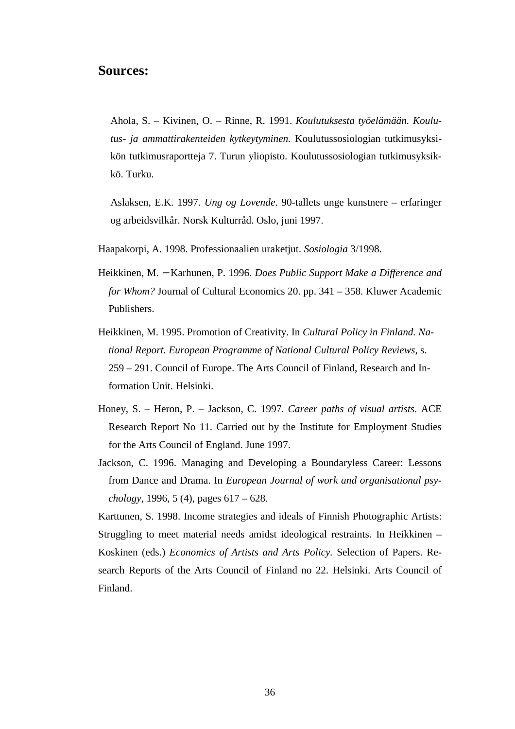## **Sources:**

Ahola, S. – Kivinen, O. – Rinne, R. 1991. *Koulutuksesta työelämään. Koulutus- ja ammattirakenteiden kytkeytyminen.* Koulutussosiologian tutkimusyksikön tutkimusraportteja 7. Turun yliopisto. Koulutussosiologian tutkimusyksikkö. Turku.

Aslaksen, E.K. 1997. *Ung og Lovende*. 90-tallets unge kunstnere – erfaringer og arbeidsvilkår. Norsk Kulturråd. Oslo, juni 1997.

Haapakorpi, A. 1998. Professionaalien uraketjut. *Sosiologia* 3/1998.

- Heikkinen, M. − Karhunen, P. 1996. *Does Public Support Make a Difference and for Whom?* Journal of Cultural Economics 20. pp. 341 – 358. Kluwer Academic Publishers.
- Heikkinen, M. 1995. Promotion of Creativity. In *Cultural Policy in Finland. National Report. European Programme of National Cultural Policy Reviews*, s. 259 – 291. Council of Europe. The Arts Council of Finland, Research and Information Unit. Helsinki.
- Honey, S. Heron, P. Jackson, C. 1997. *Career paths of visual artists*. ACE Research Report No 11. Carried out by the Institute for Employment Studies for the Arts Council of England. June 1997.
- Jackson, C. 1996. Managing and Developing a Boundaryless Career: Lessons from Dance and Drama. In *European Journal of work and organisational psychology*, 1996, 5 (4), pages 617 – 628.

Karttunen, S. 1998. Income strategies and ideals of Finnish Photographic Artists: Struggling to meet material needs amidst ideological restraints. In Heikkinen – Koskinen (eds.) *Economics of Artists and Arts Policy.* Selection of Papers. Research Reports of the Arts Council of Finland no 22. Helsinki. Arts Council of Finland.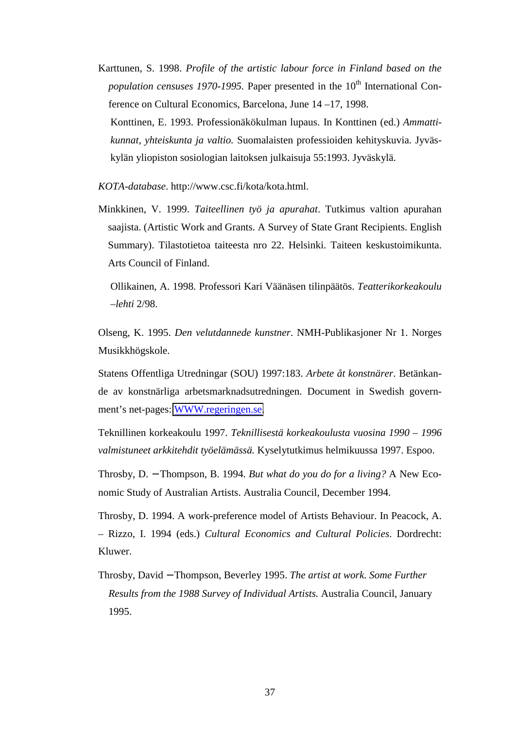Karttunen, S. 1998. *Profile of the artistic labour force in Finland based on the population censuses 1970-1995.* Paper presented in the 10<sup>th</sup> International Conference on Cultural Economics, Barcelona, June 14 –17, 1998. Konttinen, E. 1993. Professionäkökulman lupaus. In Konttinen (ed.) *Ammattikunnat, yhteiskunta ja valtio.* Suomalaisten professioiden kehityskuvia. Jyväskylän yliopiston sosiologian laitoksen julkaisuja 55:1993. Jyväskylä.

*KOTA-database*. http://www.csc.fi/kota/kota.html.

Minkkinen, V. 1999. *Taiteellinen työ ja apurahat*. Tutkimus valtion apurahan saajista. (Artistic Work and Grants. A Survey of State Grant Recipients. English Summary). Tilastotietoa taiteesta nro 22. Helsinki. Taiteen keskustoimikunta. Arts Council of Finland.

Ollikainen, A. 1998. Professori Kari Väänäsen tilinpäätös. *Teatterikorkeakoulu –lehti* 2/98.

Olseng, K. 1995. *Den velutdannede kunstner*. NMH-Publikasjoner Nr 1. Norges Musikkhögskole.

Statens Offentliga Utredningar (SOU) 1997:183. *Arbete åt konstnärer*. Betänkande av konstnärliga arbetsmarknadsutredningen. Document in Swedish government's net-pages: [WWW.regeringen.se.](http://www.regeringen.se/)

Teknillinen korkeakoulu 1997. *Teknillisestä korkeakoulusta vuosina 1990 – 1996 valmistuneet arkkitehdit työelämässä.* Kyselytutkimus helmikuussa 1997. Espoo.

Throsby, D. − Thompson, B. 1994. *But what do you do for a living?* A New Economic Study of Australian Artists. Australia Council, December 1994.

Throsby, D. 1994. A work-preference model of Artists Behaviour. In Peacock, A. – Rizzo, I. 1994 (eds.) *Cultural Economics and Cultural Policies*. Dordrecht: Kluwer.

Throsby, David − Thompson, Beverley 1995. *The artist at work. Some Further Results from the 1988 Survey of Individual Artists.* Australia Council, January 1995.